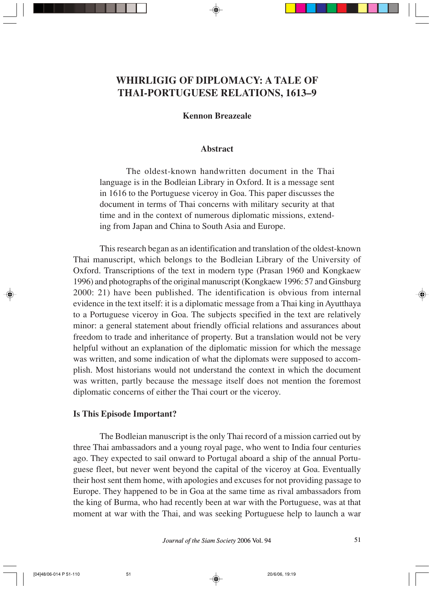# **WHIRLIGIG OF DIPLOMACY: A TALE OF THAI-PORTUGUESE RELATIONS, 1613–9**

**Kennon Breazeale**

### **Abstract**

The oldest-known handwritten document in the Thai language is in the Bodleian Library in Oxford. It is a message sent in 1616 to the Portuguese viceroy in Goa. This paper discusses the document in terms of Thai concerns with military security at that time and in the context of numerous diplomatic missions, extending from Japan and China to South Asia and Europe.

This research began as an identification and translation of the oldest-known Thai manuscript, which belongs to the Bodleian Library of the University of Oxford. Transcriptions of the text in modern type (Prasan 1960 and Kongkaew 1996) and photographs of the original manuscript (Kongkaew 1996: 57 and Ginsburg 2000: 21) have been published. The identification is obvious from internal evidence in the text itself: it is a diplomatic message from a Thai king in Ayutthaya to a Portuguese viceroy in Goa. The subjects specified in the text are relatively minor: a general statement about friendly official relations and assurances about freedom to trade and inheritance of property. But a translation would not be very helpful without an explanation of the diplomatic mission for which the message was written, and some indication of what the diplomats were supposed to accomplish. Most historians would not understand the context in which the document was written, partly because the message itself does not mention the foremost diplomatic concerns of either the Thai court or the viceroy.

# **Is This Episode Important?**

The Bodleian manuscript is the only Thai record of a mission carried out by three Thai ambassadors and a young royal page, who went to India four centuries ago. They expected to sail onward to Portugal aboard a ship of the annual Portuguese fleet, but never went beyond the capital of the viceroy at Goa. Eventually their host sent them home, with apologies and excuses for not providing passage to Europe. They happened to be in Goa at the same time as rival ambassadors from the king of Burma, who had recently been at war with the Portuguese, was at that moment at war with the Thai, and was seeking Portuguese help to launch a war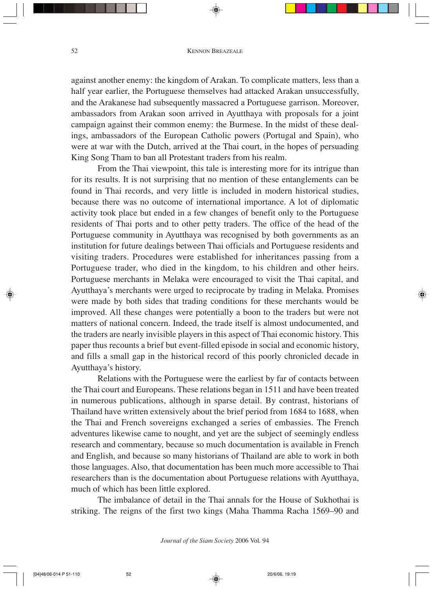against another enemy: the kingdom of Arakan. To complicate matters, less than a half year earlier, the Portuguese themselves had attacked Arakan unsuccessfully, and the Arakanese had subsequently massacred a Portuguese garrison. Moreover, ambassadors from Arakan soon arrived in Ayutthaya with proposals for a joint campaign against their common enemy: the Burmese. In the midst of these dealings, ambassadors of the European Catholic powers (Portugal and Spain), who were at war with the Dutch, arrived at the Thai court, in the hopes of persuading King Song Tham to ban all Protestant traders from his realm.

From the Thai viewpoint, this tale is interesting more for its intrigue than for its results. It is not surprising that no mention of these entanglements can be found in Thai records, and very little is included in modern historical studies, because there was no outcome of international importance. A lot of diplomatic activity took place but ended in a few changes of benefit only to the Portuguese residents of Thai ports and to other petty traders. The office of the head of the Portuguese community in Ayutthaya was recognised by both governments as an institution for future dealings between Thai officials and Portuguese residents and visiting traders. Procedures were established for inheritances passing from a Portuguese trader, who died in the kingdom, to his children and other heirs. Portuguese merchants in Melaka were encouraged to visit the Thai capital, and Ayutthaya's merchants were urged to reciprocate by trading in Melaka. Promises were made by both sides that trading conditions for these merchants would be improved. All these changes were potentially a boon to the traders but were not matters of national concern. Indeed, the trade itself is almost undocumented, and the traders are nearly invisible players in this aspect of Thai economic history. This paper thus recounts a brief but event-filled episode in social and economic history, and fills a small gap in the historical record of this poorly chronicled decade in Ayutthaya's history.

Relations with the Portuguese were the earliest by far of contacts between the Thai court and Europeans. These relations began in 1511 and have been treated in numerous publications, although in sparse detail. By contrast, historians of Thailand have written extensively about the brief period from 1684 to 1688, when the Thai and French sovereigns exchanged a series of embassies. The French adventures likewise came to nought, and yet are the subject of seemingly endless research and commentary, because so much documentation is available in French and English, and because so many historians of Thailand are able to work in both those languages. Also, that documentation has been much more accessible to Thai researchers than is the documentation about Portuguese relations with Ayutthaya, much of which has been little explored.

The imbalance of detail in the Thai annals for the House of Sukhothai is striking. The reigns of the first two kings (Maha Thamma Racha 1569–90 and

*Journal of the Siam Society* 2006 Vol. 94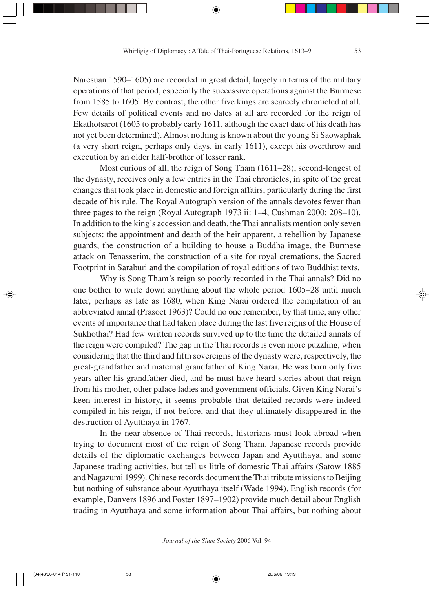Naresuan 1590–1605) are recorded in great detail, largely in terms of the military operations of that period, especially the successive operations against the Burmese from 1585 to 1605. By contrast, the other five kings are scarcely chronicled at all. Few details of political events and no dates at all are recorded for the reign of Ekathotsarot (1605 to probably early 1611, although the exact date of his death has not yet been determined). Almost nothing is known about the young Si Saowaphak (a very short reign, perhaps only days, in early 1611), except his overthrow and execution by an older half-brother of lesser rank.

Most curious of all, the reign of Song Tham (1611–28), second-longest of the dynasty, receives only a few entries in the Thai chronicles, in spite of the great changes that took place in domestic and foreign affairs, particularly during the first decade of his rule. The Royal Autograph version of the annals devotes fewer than three pages to the reign (Royal Autograph 1973 ii: 1–4, Cushman 2000: 208–10). In addition to the king's accession and death, the Thai annalists mention only seven subjects: the appointment and death of the heir apparent, a rebellion by Japanese guards, the construction of a building to house a Buddha image, the Burmese attack on Tenasserim, the construction of a site for royal cremations, the Sacred Footprint in Saraburi and the compilation of royal editions of two Buddhist texts.

Why is Song Tham's reign so poorly recorded in the Thai annals? Did no one bother to write down anything about the whole period 1605–28 until much later, perhaps as late as 1680, when King Narai ordered the compilation of an abbreviated annal (Prasoet 1963)? Could no one remember, by that time, any other events of importance that had taken place during the last five reigns of the House of Sukhothai? Had few written records survived up to the time the detailed annals of the reign were compiled? The gap in the Thai records is even more puzzling, when considering that the third and fifth sovereigns of the dynasty were, respectively, the great-grandfather and maternal grandfather of King Narai. He was born only five years after his grandfather died, and he must have heard stories about that reign from his mother, other palace ladies and government officials. Given King Narai's keen interest in history, it seems probable that detailed records were indeed compiled in his reign, if not before, and that they ultimately disappeared in the destruction of Ayutthaya in 1767.

In the near-absence of Thai records, historians must look abroad when trying to document most of the reign of Song Tham. Japanese records provide details of the diplomatic exchanges between Japan and Ayutthaya, and some Japanese trading activities, but tell us little of domestic Thai affairs (Satow 1885 and Nagazumi 1999). Chinese records document the Thai tribute missions to Beijing but nothing of substance about Ayutthaya itself (Wade 1994). English records (for example, Danvers 1896 and Foster 1897–1902) provide much detail about English trading in Ayutthaya and some information about Thai affairs, but nothing about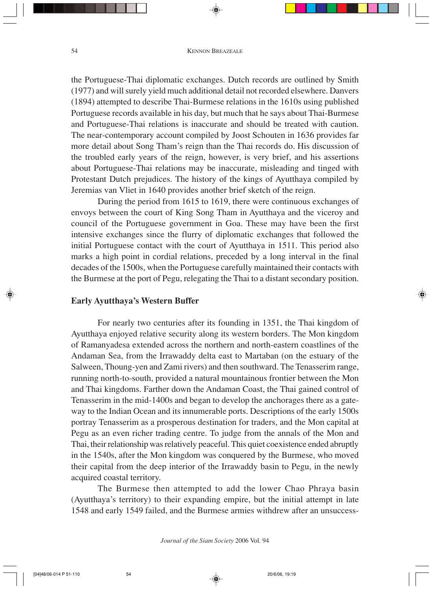the Portuguese-Thai diplomatic exchanges. Dutch records are outlined by Smith (1977) and will surely yield much additional detail not recorded elsewhere. Danvers (1894) attempted to describe Thai-Burmese relations in the 1610s using published Portuguese records available in his day, but much that he says about Thai-Burmese and Portuguese-Thai relations is inaccurate and should be treated with caution. The near-contemporary account compiled by Joost Schouten in 1636 provides far more detail about Song Tham's reign than the Thai records do. His discussion of the troubled early years of the reign, however, is very brief, and his assertions about Portuguese-Thai relations may be inaccurate, misleading and tinged with Protestant Dutch prejudices. The history of the kings of Ayutthaya compiled by Jeremias van Vliet in 1640 provides another brief sketch of the reign.

During the period from 1615 to 1619, there were continuous exchanges of envoys between the court of King Song Tham in Ayutthaya and the viceroy and council of the Portuguese government in Goa. These may have been the first intensive exchanges since the flurry of diplomatic exchanges that followed the initial Portuguese contact with the court of Ayutthaya in 1511. This period also marks a high point in cordial relations, preceded by a long interval in the final decades of the 1500s, when the Portuguese carefully maintained their contacts with the Burmese at the port of Pegu, relegating the Thai to a distant secondary position.

# **Early Ayutthaya's Western Buffer**

54

For nearly two centuries after its founding in 1351, the Thai kingdom of Ayutthaya enjoyed relative security along its western borders. The Mon kingdom of Ramanyadesa extended across the northern and north-eastern coastlines of the Andaman Sea, from the Irrawaddy delta east to Martaban (on the estuary of the Salween, Thoung-yen and Zami rivers) and then southward. The Tenasserim range, running north-to-south, provided a natural mountainous frontier between the Mon and Thai kingdoms. Farther down the Andaman Coast, the Thai gained control of Tenasserim in the mid-1400s and began to develop the anchorages there as a gateway to the Indian Ocean and its innumerable ports. Descriptions of the early 1500s portray Tenasserim as a prosperous destination for traders, and the Mon capital at Pegu as an even richer trading centre. To judge from the annals of the Mon and Thai, their relationship was relatively peaceful. This quiet coexistence ended abruptly in the 1540s, after the Mon kingdom was conquered by the Burmese, who moved their capital from the deep interior of the Irrawaddy basin to Pegu, in the newly acquired coastal territory.

The Burmese then attempted to add the lower Chao Phraya basin (Ayutthaya's territory) to their expanding empire, but the initial attempt in late 1548 and early 1549 failed, and the Burmese armies withdrew after an unsuccess-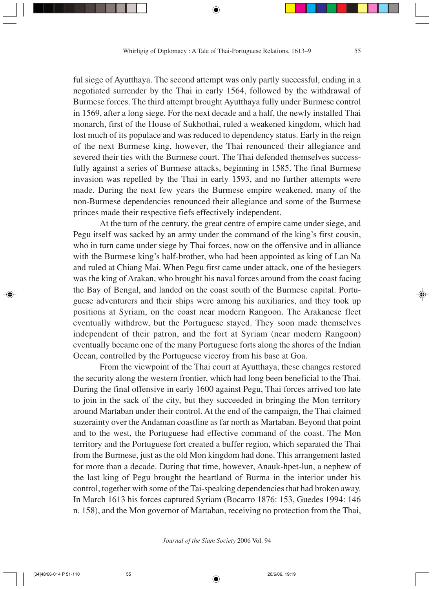ful siege of Ayutthaya. The second attempt was only partly successful, ending in a negotiated surrender by the Thai in early 1564, followed by the withdrawal of Burmese forces. The third attempt brought Ayutthaya fully under Burmese control in 1569, after a long siege. For the next decade and a half, the newly installed Thai monarch, first of the House of Sukhothai, ruled a weakened kingdom, which had lost much of its populace and was reduced to dependency status. Early in the reign of the next Burmese king, however, the Thai renounced their allegiance and severed their ties with the Burmese court. The Thai defended themselves successfully against a series of Burmese attacks, beginning in 1585. The final Burmese invasion was repelled by the Thai in early 1593, and no further attempts were made. During the next few years the Burmese empire weakened, many of the non-Burmese dependencies renounced their allegiance and some of the Burmese princes made their respective fiefs effectively independent.

At the turn of the century, the great centre of empire came under siege, and Pegu itself was sacked by an army under the command of the king's first cousin, who in turn came under siege by Thai forces, now on the offensive and in alliance with the Burmese king's half-brother, who had been appointed as king of Lan Na and ruled at Chiang Mai. When Pegu first came under attack, one of the besiegers was the king of Arakan, who brought his naval forces around from the coast facing the Bay of Bengal, and landed on the coast south of the Burmese capital. Portuguese adventurers and their ships were among his auxiliaries, and they took up positions at Syriam, on the coast near modern Rangoon. The Arakanese fleet eventually withdrew, but the Portuguese stayed. They soon made themselves independent of their patron, and the fort at Syriam (near modern Rangoon) eventually became one of the many Portuguese forts along the shores of the Indian Ocean, controlled by the Portuguese viceroy from his base at Goa.

From the viewpoint of the Thai court at Ayutthaya, these changes restored the security along the western frontier, which had long been beneficial to the Thai. During the final offensive in early 1600 against Pegu, Thai forces arrived too late to join in the sack of the city, but they succeeded in bringing the Mon territory around Martaban under their control. At the end of the campaign, the Thai claimed suzerainty over the Andaman coastline as far north as Martaban. Beyond that point and to the west, the Portuguese had effective command of the coast. The Mon territory and the Portuguese fort created a buffer region, which separated the Thai from the Burmese, just as the old Mon kingdom had done. This arrangement lasted for more than a decade. During that time, however, Anauk-hpet-lun, a nephew of the last king of Pegu brought the heartland of Burma in the interior under his control, together with some of the Tai-speaking dependencies that had broken away. In March 1613 his forces captured Syriam (Bocarro 1876: 153, Guedes 1994: 146 n. 158), and the Mon governor of Martaban, receiving no protection from the Thai,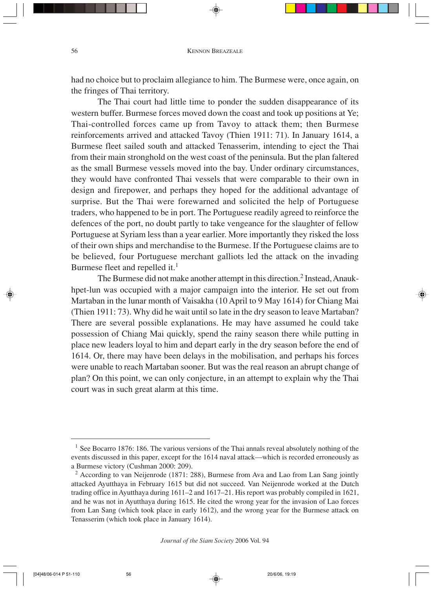had no choice but to proclaim allegiance to him. The Burmese were, once again, on the fringes of Thai territory.

The Thai court had little time to ponder the sudden disappearance of its western buffer. Burmese forces moved down the coast and took up positions at Ye; Thai-controlled forces came up from Tavoy to attack them; then Burmese reinforcements arrived and attacked Tavoy (Thien 1911: 71). In January 1614, a Burmese fleet sailed south and attacked Tenasserim, intending to eject the Thai from their main stronghold on the west coast of the peninsula. But the plan faltered as the small Burmese vessels moved into the bay. Under ordinary circumstances, they would have confronted Thai vessels that were comparable to their own in design and firepower, and perhaps they hoped for the additional advantage of surprise. But the Thai were forewarned and solicited the help of Portuguese traders, who happened to be in port. The Portuguese readily agreed to reinforce the defences of the port, no doubt partly to take vengeance for the slaughter of fellow Portuguese at Syriam less than a year earlier. More importantly they risked the loss of their own ships and merchandise to the Burmese. If the Portuguese claims are to be believed, four Portuguese merchant galliots led the attack on the invading Burmese fleet and repelled it.<sup>1</sup>

The Burmese did not make another attempt in this direction.<sup>2</sup> Instead, Anaukhpet-lun was occupied with a major campaign into the interior. He set out from Martaban in the lunar month of Vaisakha (10 April to 9 May 1614) for Chiang Mai (Thien 1911: 73). Why did he wait until so late in the dry season to leave Martaban? There are several possible explanations. He may have assumed he could take possession of Chiang Mai quickly, spend the rainy season there while putting in place new leaders loyal to him and depart early in the dry season before the end of 1614. Or, there may have been delays in the mobilisation, and perhaps his forces were unable to reach Martaban sooner. But was the real reason an abrupt change of plan? On this point, we can only conjecture, in an attempt to explain why the Thai court was in such great alarm at this time.

*Journal of the Siam Society* 2006 Vol. 94

<sup>&</sup>lt;sup>1</sup> See Bocarro 1876: 186. The various versions of the Thai annals reveal absolutely nothing of the events discussed in this paper, except for the 1614 naval attack—which is recorded erroneously as a Burmese victory (Cushman 2000: 209).

<sup>&</sup>lt;sup>2</sup> According to van Neijenrode (1871: 288), Burmese from Ava and Lao from Lan Sang jointly attacked Ayutthaya in February 1615 but did not succeed. Van Neijenrode worked at the Dutch trading office in Ayutthaya during 1611–2 and 1617–21. His report was probably compiled in 1621, and he was not in Ayutthaya during 1615. He cited the wrong year for the invasion of Lao forces from Lan Sang (which took place in early 1612), and the wrong year for the Burmese attack on Tenasserim (which took place in January 1614).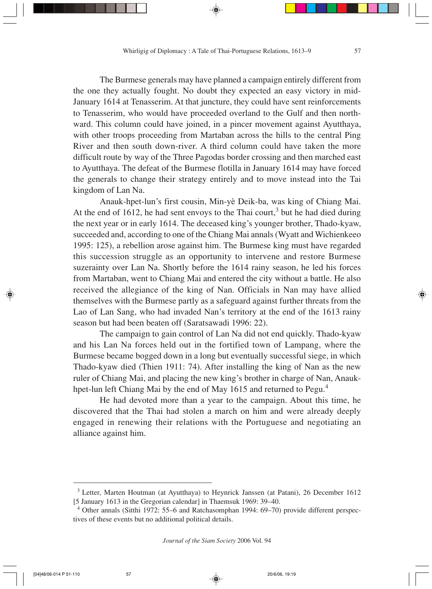Whirligig of Diplomacy : A Tale of Thai-Portuguese Relations, 1613–9 57

The Burmese generals may have planned a campaign entirely different from the one they actually fought. No doubt they expected an easy victory in mid-January 1614 at Tenasserim. At that juncture, they could have sent reinforcements to Tenasserim, who would have proceeded overland to the Gulf and then northward. This column could have joined, in a pincer movement against Ayutthaya, with other troops proceeding from Martaban across the hills to the central Ping River and then south down-river. A third column could have taken the more difficult route by way of the Three Pagodas border crossing and then marched east to Ayutthaya. The defeat of the Burmese flotilla in January 1614 may have forced the generals to change their strategy entirely and to move instead into the Tai kingdom of Lan Na.

Anauk-hpet-lun's first cousin, Min-yè Deik-ba, was king of Chiang Mai. At the end of 1612, he had sent envoys to the Thai court,<sup>3</sup> but he had died during the next year or in early 1614. The deceased king's younger brother, Thado-kyaw, succeeded and, according to one of the Chiang Mai annals (Wyatt and Wichienkeeo 1995: 125), a rebellion arose against him. The Burmese king must have regarded this succession struggle as an opportunity to intervene and restore Burmese suzerainty over Lan Na. Shortly before the 1614 rainy season, he led his forces from Martaban, went to Chiang Mai and entered the city without a battle. He also received the allegiance of the king of Nan. Officials in Nan may have allied themselves with the Burmese partly as a safeguard against further threats from the Lao of Lan Sang, who had invaded Nan's territory at the end of the 1613 rainy season but had been beaten off (Saratsawadi 1996: 22).

The campaign to gain control of Lan Na did not end quickly. Thado-kyaw and his Lan Na forces held out in the fortified town of Lampang, where the Burmese became bogged down in a long but eventually successful siege, in which Thado-kyaw died (Thien 1911: 74). After installing the king of Nan as the new ruler of Chiang Mai, and placing the new king's brother in charge of Nan, Anaukhpet-lun left Chiang Mai by the end of May 1615 and returned to Pegu.<sup>4</sup>

He had devoted more than a year to the campaign. About this time, he discovered that the Thai had stolen a march on him and were already deeply engaged in renewing their relations with the Portuguese and negotiating an alliance against him.

<sup>3</sup> Letter, Marten Houtman (at Ayutthaya) to Heynrick Janssen (at Patani), 26 December 1612 [5 January 1613 in the Gregorian calendar] in Thaemsuk 1969: 39–40.

<sup>4</sup> Other annals (Sitthi 1972: 55–6 and Ratchasomphan 1994: 69–70) provide different perspectives of these events but no additional political details.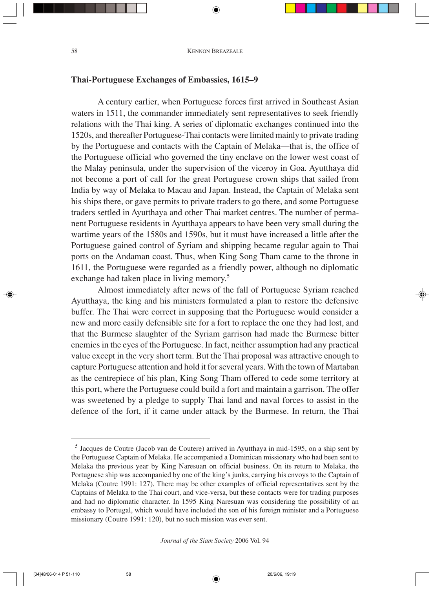# **Thai-Portuguese Exchanges of Embassies, 1615–9**

58

A century earlier, when Portuguese forces first arrived in Southeast Asian waters in 1511, the commander immediately sent representatives to seek friendly relations with the Thai king. A series of diplomatic exchanges continued into the 1520s, and thereafter Portuguese-Thai contacts were limited mainly to private trading by the Portuguese and contacts with the Captain of Melaka—that is, the office of the Portuguese official who governed the tiny enclave on the lower west coast of the Malay peninsula, under the supervision of the viceroy in Goa. Ayutthaya did not become a port of call for the great Portuguese crown ships that sailed from India by way of Melaka to Macau and Japan. Instead, the Captain of Melaka sent his ships there, or gave permits to private traders to go there, and some Portuguese traders settled in Ayutthaya and other Thai market centres. The number of permanent Portuguese residents in Ayutthaya appears to have been very small during the wartime years of the 1580s and 1590s, but it must have increased a little after the Portuguese gained control of Syriam and shipping became regular again to Thai ports on the Andaman coast. Thus, when King Song Tham came to the throne in 1611, the Portuguese were regarded as a friendly power, although no diplomatic exchange had taken place in living memory.<sup>5</sup>

Almost immediately after news of the fall of Portuguese Syriam reached Ayutthaya, the king and his ministers formulated a plan to restore the defensive buffer. The Thai were correct in supposing that the Portuguese would consider a new and more easily defensible site for a fort to replace the one they had lost, and that the Burmese slaughter of the Syriam garrison had made the Burmese bitter enemies in the eyes of the Portuguese. In fact, neither assumption had any practical value except in the very short term. But the Thai proposal was attractive enough to capture Portuguese attention and hold it for several years. With the town of Martaban as the centrepiece of his plan, King Song Tham offered to cede some territory at this port, where the Portuguese could build a fort and maintain a garrison. The offer was sweetened by a pledge to supply Thai land and naval forces to assist in the defence of the fort, if it came under attack by the Burmese. In return, the Thai

<sup>5</sup> Jacques de Coutre (Jacob van de Coutere) arrived in Ayutthaya in mid-1595, on a ship sent by the Portuguese Captain of Melaka. He accompanied a Dominican missionary who had been sent to Melaka the previous year by King Naresuan on official business. On its return to Melaka, the Portuguese ship was accompanied by one of the king's junks, carrying his envoys to the Captain of Melaka (Coutre 1991: 127). There may be other examples of official representatives sent by the Captains of Melaka to the Thai court, and vice-versa, but these contacts were for trading purposes and had no diplomatic character. In 1595 King Naresuan was considering the possibility of an embassy to Portugal, which would have included the son of his foreign minister and a Portuguese missionary (Coutre 1991: 120), but no such mission was ever sent.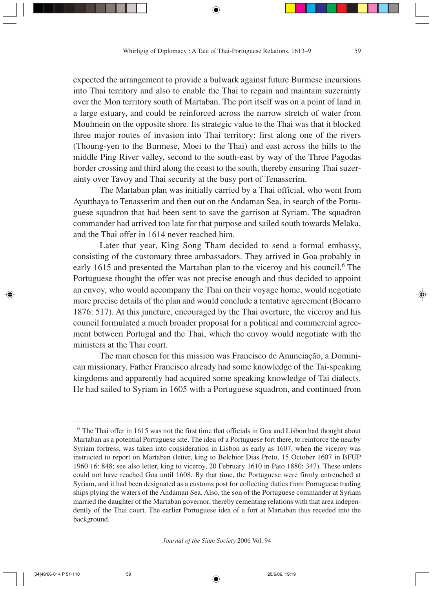expected the arrangement to provide a bulwark against future Burmese incursions into Thai territory and also to enable the Thai to regain and maintain suzerainty over the Mon territory south of Martaban. The port itself was on a point of land in a large estuary, and could be reinforced across the narrow stretch of water from Moulmein on the opposite shore. Its strategic value to the Thai was that it blocked three major routes of invasion into Thai territory: first along one of the rivers (Thoung-yen to the Burmese, Moei to the Thai) and east across the hills to the middle Ping River valley, second to the south-east by way of the Three Pagodas border crossing and third along the coast to the south, thereby ensuring Thai suzerainty over Tavoy and Thai security at the busy port of Tenasserim.

The Martaban plan was initially carried by a Thai official, who went from Ayutthaya to Tenasserim and then out on the Andaman Sea, in search of the Portuguese squadron that had been sent to save the garrison at Syriam. The squadron commander had arrived too late for that purpose and sailed south towards Melaka, and the Thai offer in 1614 never reached him.

Later that year, King Song Tham decided to send a formal embassy, consisting of the customary three ambassadors. They arrived in Goa probably in early 1615 and presented the Martaban plan to the viceroy and his council.<sup>6</sup> The Portuguese thought the offer was not precise enough and thus decided to appoint an envoy, who would accompany the Thai on their voyage home, would negotiate more precise details of the plan and would conclude a tentative agreement (Bocarro 1876: 517). At this juncture, encouraged by the Thai overture, the viceroy and his council formulated a much broader proposal for a political and commercial agreement between Portugal and the Thai, which the envoy would negotiate with the ministers at the Thai court.

The man chosen for this mission was Francisco de Anunciação, a Dominican missionary. Father Francisco already had some knowledge of the Tai-speaking kingdoms and apparently had acquired some speaking knowledge of Tai dialects. He had sailed to Syriam in 1605 with a Portuguese squadron, and continued from

 $6$  The Thai offer in 1615 was not the first time that officials in Goa and Lisbon had thought about Martaban as a potential Portuguese site. The idea of a Portuguese fort there, to reinforce the nearby Syriam fortress, was taken into consideration in Lisbon as early as 1607, when the viceroy was instructed to report on Martaban (letter, king to Belchior Dias Preto, 15 October 1607 in BFUP 1960 16: 848; see also letter, king to viceroy, 20 February 1610 in Pato 1880: 347). These orders could not have reached Goa until 1608. By that time, the Portuguese were firmly entrenched at Syriam, and it had been designated as a customs post for collecting duties from Portuguese trading ships plying the waters of the Andaman Sea. Also, the son of the Portuguese commander at Syriam married the daughter of the Martaban governor, thereby cementing relations with that area independently of the Thai court. The earlier Portuguese idea of a fort at Martaban thus receded into the background.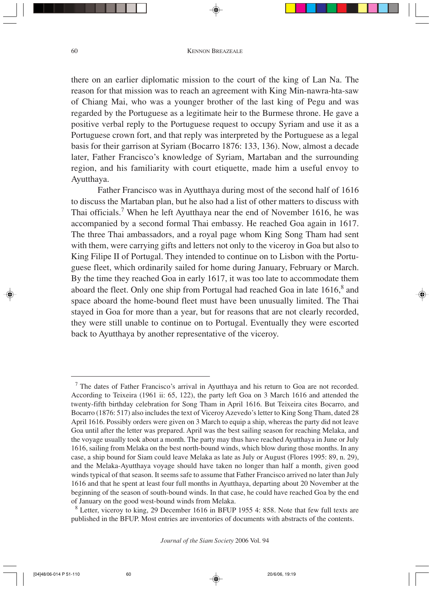there on an earlier diplomatic mission to the court of the king of Lan Na. The reason for that mission was to reach an agreement with King Min-nawra-hta-saw of Chiang Mai, who was a younger brother of the last king of Pegu and was regarded by the Portuguese as a legitimate heir to the Burmese throne. He gave a positive verbal reply to the Portuguese request to occupy Syriam and use it as a Portuguese crown fort, and that reply was interpreted by the Portuguese as a legal basis for their garrison at Syriam (Bocarro 1876: 133, 136). Now, almost a decade later, Father Francisco's knowledge of Syriam, Martaban and the surrounding region, and his familiarity with court etiquette, made him a useful envoy to Ayutthaya.

Father Francisco was in Ayutthaya during most of the second half of 1616 to discuss the Martaban plan, but he also had a list of other matters to discuss with Thai officials.<sup>7</sup> When he left Ayutthaya near the end of November 1616, he was accompanied by a second formal Thai embassy. He reached Goa again in 1617. The three Thai ambassadors, and a royal page whom King Song Tham had sent with them, were carrying gifts and letters not only to the viceroy in Goa but also to King Filipe II of Portugal. They intended to continue on to Lisbon with the Portuguese fleet, which ordinarily sailed for home during January, February or March. By the time they reached Goa in early 1617, it was too late to accommodate them aboard the fleet. Only one ship from Portugal had reached Goa in late  $1616$ ,  $8$  and space aboard the home-bound fleet must have been unusually limited. The Thai stayed in Goa for more than a year, but for reasons that are not clearly recorded, they were still unable to continue on to Portugal. Eventually they were escorted back to Ayutthaya by another representative of the viceroy.

<sup>7</sup> The dates of Father Francisco's arrival in Ayutthaya and his return to Goa are not recorded. According to Teixeira (1961 ii: 65, 122), the party left Goa on 3 March 1616 and attended the twenty-fifth birthday celebration for Song Tham in April 1616. But Teixeira cites Bocarro, and Bocarro (1876: 517) also includes the text of Viceroy Azevedo's letter to King Song Tham, dated 28 April 1616. Possibly orders were given on 3 March to equip a ship, whereas the party did not leave Goa until after the letter was prepared. April was the best sailing season for reaching Melaka, and the voyage usually took about a month. The party may thus have reached Ayutthaya in June or July 1616, sailing from Melaka on the best north-bound winds, which blow during those months. In any case, a ship bound for Siam could leave Melaka as late as July or August (Flores 1995: 89, n. 29), and the Melaka-Ayutthaya voyage should have taken no longer than half a month, given good winds typical of that season. It seems safe to assume that Father Francisco arrived no later than July 1616 and that he spent at least four full months in Ayutthaya, departing about 20 November at the beginning of the season of south-bound winds. In that case, he could have reached Goa by the end of January on the good west-bound winds from Melaka.

<sup>8</sup> Letter, viceroy to king, 29 December 1616 in BFUP 1955 4: 858. Note that few full texts are published in the BFUP. Most entries are inventories of documents with abstracts of the contents.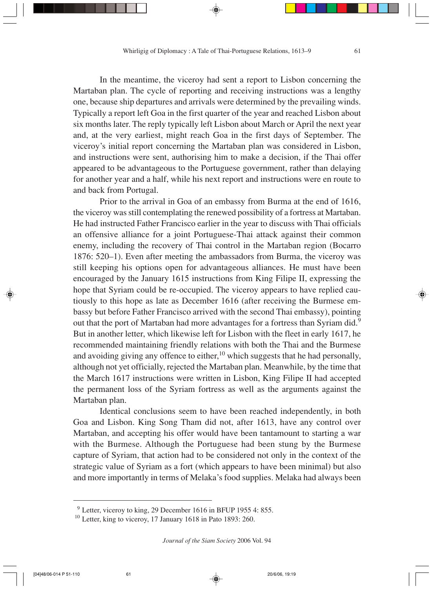In the meantime, the viceroy had sent a report to Lisbon concerning the Martaban plan. The cycle of reporting and receiving instructions was a lengthy one, because ship departures and arrivals were determined by the prevailing winds. Typically a report left Goa in the first quarter of the year and reached Lisbon about six months later. The reply typically left Lisbon about March or April the next year and, at the very earliest, might reach Goa in the first days of September. The viceroy's initial report concerning the Martaban plan was considered in Lisbon, and instructions were sent, authorising him to make a decision, if the Thai offer appeared to be advantageous to the Portuguese government, rather than delaying for another year and a half, while his next report and instructions were en route to and back from Portugal.

Prior to the arrival in Goa of an embassy from Burma at the end of 1616, the viceroy was still contemplating the renewed possibility of a fortress at Martaban. He had instructed Father Francisco earlier in the year to discuss with Thai officials an offensive alliance for a joint Portuguese-Thai attack against their common enemy, including the recovery of Thai control in the Martaban region (Bocarro 1876: 520–1). Even after meeting the ambassadors from Burma, the viceroy was still keeping his options open for advantageous alliances. He must have been encouraged by the January 1615 instructions from King Filipe II, expressing the hope that Syriam could be re-occupied. The viceroy appears to have replied cautiously to this hope as late as December 1616 (after receiving the Burmese embassy but before Father Francisco arrived with the second Thai embassy), pointing out that the port of Martaban had more advantages for a fortress than Syriam did.<sup>9</sup> But in another letter, which likewise left for Lisbon with the fleet in early 1617, he recommended maintaining friendly relations with both the Thai and the Burmese and avoiding giving any offence to either,<sup>10</sup> which suggests that he had personally, although not yet officially, rejected the Martaban plan. Meanwhile, by the time that the March 1617 instructions were written in Lisbon, King Filipe II had accepted the permanent loss of the Syriam fortress as well as the arguments against the Martaban plan.

Identical conclusions seem to have been reached independently, in both Goa and Lisbon. King Song Tham did not, after 1613, have any control over Martaban, and accepting his offer would have been tantamount to starting a war with the Burmese. Although the Portuguese had been stung by the Burmese capture of Syriam, that action had to be considered not only in the context of the strategic value of Syriam as a fort (which appears to have been minimal) but also and more importantly in terms of Melaka's food supplies. Melaka had always been

 $9$  Letter, viceroy to king, 29 December 1616 in BFUP 1955 4: 855.

 $10$  Letter, king to viceroy, 17 January 1618 in Pato 1893: 260.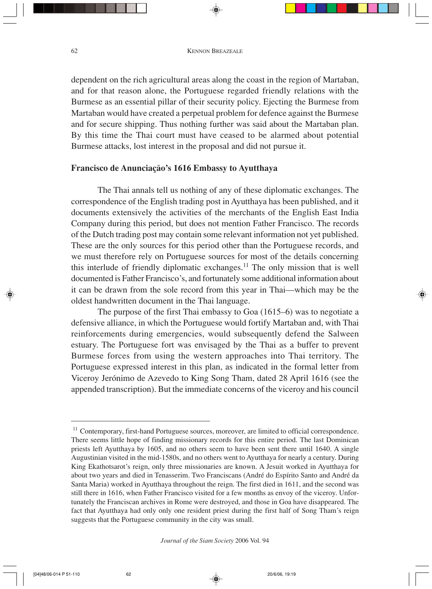dependent on the rich agricultural areas along the coast in the region of Martaban, and for that reason alone, the Portuguese regarded friendly relations with the Burmese as an essential pillar of their security policy. Ejecting the Burmese from Martaban would have created a perpetual problem for defence against the Burmese and for secure shipping. Thus nothing further was said about the Martaban plan. By this time the Thai court must have ceased to be alarmed about potential Burmese attacks, lost interest in the proposal and did not pursue it.

# **Francisco de Anunciação's 1616 Embassy to Ayutthaya**

The Thai annals tell us nothing of any of these diplomatic exchanges. The correspondence of the English trading post in Ayutthaya has been published, and it documents extensively the activities of the merchants of the English East India Company during this period, but does not mention Father Francisco. The records of the Dutch trading post may contain some relevant information not yet published. These are the only sources for this period other than the Portuguese records, and we must therefore rely on Portuguese sources for most of the details concerning this interlude of friendly diplomatic exchanges.<sup>11</sup> The only mission that is well documented is Father Francisco's, and fortunately some additional information about it can be drawn from the sole record from this year in Thai—which may be the oldest handwritten document in the Thai language.

The purpose of the first Thai embassy to Goa (1615–6) was to negotiate a defensive alliance, in which the Portuguese would fortify Martaban and, with Thai reinforcements during emergencies, would subsequently defend the Salween estuary. The Portuguese fort was envisaged by the Thai as a buffer to prevent Burmese forces from using the western approaches into Thai territory. The Portuguese expressed interest in this plan, as indicated in the formal letter from Viceroy Jerónimo de Azevedo to King Song Tham, dated 28 April 1616 (see the appended transcription). But the immediate concerns of the viceroy and his council

<sup>&</sup>lt;sup>11</sup> Contemporary, first-hand Portuguese sources, moreover, are limited to official correspondence. There seems little hope of finding missionary records for this entire period. The last Dominican priests left Ayutthaya by 1605, and no others seem to have been sent there until 1640. A single Augustinian visited in the mid-1580s, and no others went to Ayutthaya for nearly a century. During King Ekathotsarot's reign, only three missionaries are known. A Jesuit worked in Ayutthaya for about two years and died in Tenasserim. Two Franciscans (André do Espírito Santo and André da Santa Maria) worked in Ayutthaya throughout the reign. The first died in 1611, and the second was still there in 1616, when Father Francisco visited for a few months as envoy of the viceroy. Unfortunately the Franciscan archives in Rome were destroyed, and those in Goa have disappeared. The fact that Ayutthaya had only only one resident priest during the first half of Song Tham's reign suggests that the Portuguese community in the city was small.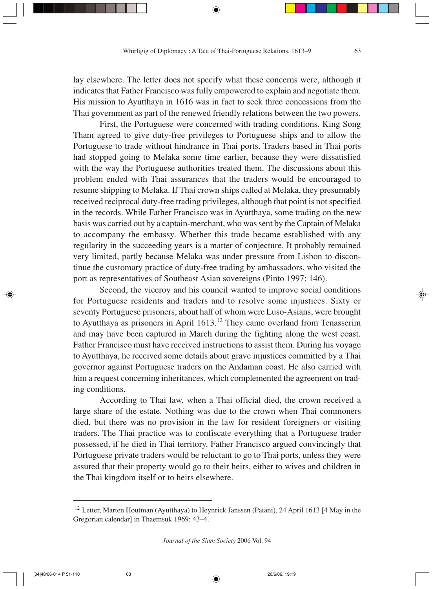Whirligig of Diplomacy : A Tale of Thai-Portuguese Relations, 1613–9 63

lay elsewhere. The letter does not specify what these concerns were, although it indicates that Father Francisco was fully empowered to explain and negotiate them. His mission to Ayutthaya in 1616 was in fact to seek three concessions from the Thai government as part of the renewed friendly relations between the two powers.

First, the Portuguese were concerned with trading conditions. King Song Tham agreed to give duty-free privileges to Portuguese ships and to allow the Portuguese to trade without hindrance in Thai ports. Traders based in Thai ports had stopped going to Melaka some time earlier, because they were dissatisfied with the way the Portuguese authorities treated them. The discussions about this problem ended with Thai assurances that the traders would be encouraged to resume shipping to Melaka. If Thai crown ships called at Melaka, they presumably received reciprocal duty-free trading privileges, although that point is not specified in the records. While Father Francisco was in Ayutthaya, some trading on the new basis was carried out by a captain-merchant, who was sent by the Captain of Melaka to accompany the embassy. Whether this trade became established with any regularity in the succeeding years is a matter of conjecture. It probably remained very limited, partly because Melaka was under pressure from Lisbon to discontinue the customary practice of duty-free trading by ambassadors, who visited the port as representatives of Southeast Asian sovereigns (Pinto 1997: 146).

Second, the viceroy and his council wanted to improve social conditions for Portuguese residents and traders and to resolve some injustices. Sixty or seventy Portuguese prisoners, about half of whom were Luso-Asians, were brought to Ayutthaya as prisoners in April  $1613$ .<sup>12</sup> They came overland from Tenasserim and may have been captured in March during the fighting along the west coast. Father Francisco must have received instructions to assist them. During his voyage to Ayutthaya, he received some details about grave injustices committed by a Thai governor against Portuguese traders on the Andaman coast. He also carried with him a request concerning inheritances, which complemented the agreement on trading conditions.

According to Thai law, when a Thai official died, the crown received a large share of the estate. Nothing was due to the crown when Thai commoners died, but there was no provision in the law for resident foreigners or visiting traders. The Thai practice was to confiscate everything that a Portuguese trader possessed, if he died in Thai territory. Father Francisco argued convincingly that Portuguese private traders would be reluctant to go to Thai ports, unless they were assured that their property would go to their heirs, either to wives and children in the Thai kingdom itself or to heirs elsewhere.

<sup>&</sup>lt;sup>12</sup> Letter, Marten Houtman (Ayutthaya) to Heynrick Janssen (Patani), 24 April 1613 [4 May in the Gregorian calendar] in Thaemsuk 1969: 43–4.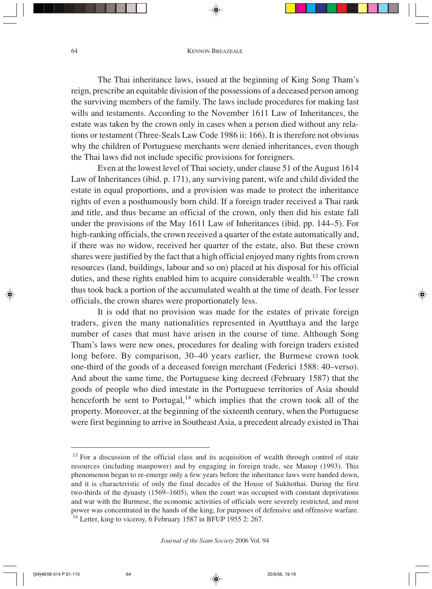The Thai inheritance laws, issued at the beginning of King Song Tham's reign, prescribe an equitable division of the possessions of a deceased person among the surviving members of the family. The laws include procedures for making last wills and testaments. According to the November 1611 Law of Inheritances, the estate was taken by the crown only in cases when a person died without any relations or testament (Three-Seals Law Code 1986 ii: 166). It is therefore not obvious why the children of Portuguese merchants were denied inheritances, even though the Thai laws did not include specific provisions for foreigners.

Even at the lowest level of Thai society, under clause 51 of the August 1614 Law of Inheritances (ibid. p. 171), any surviving parent, wife and child divided the estate in equal proportions, and a provision was made to protect the inheritance rights of even a posthumously born child. If a foreign trader received a Thai rank and title, and thus became an official of the crown, only then did his estate fall under the provisions of the May 1611 Law of Inheritances (ibid. pp. 144–5). For high-ranking officials, the crown received a quarter of the estate automatically and, if there was no widow, received her quarter of the estate, also. But these crown shares were justified by the fact that a high official enjoyed many rights from crown resources (land, buildings, labour and so on) placed at his disposal for his official duties, and these rights enabled him to acquire considerable wealth.<sup>13</sup> The crown thus took back a portion of the accumulated wealth at the time of death. For lesser officials, the crown shares were proportionately less.

It is odd that no provision was made for the estates of private foreign traders, given the many nationalities represented in Ayutthaya and the large number of cases that must have arisen in the course of time. Although Song Tham's laws were new ones, procedures for dealing with foreign traders existed long before. By comparison, 30–40 years earlier, the Burmese crown took one-third of the goods of a deceased foreign merchant (Federici 1588: 40–verso). And about the same time, the Portuguese king decreed (February 1587) that the goods of people who died intestate in the Portuguese territories of Asia should henceforth be sent to Portugal, $14$  which implies that the crown took all of the property. Moreover, at the beginning of the sixteenth century, when the Portuguese were first beginning to arrive in Southeast Asia, a precedent already existed in Thai

<sup>&</sup>lt;sup>13</sup> For a discussion of the official class and its acquisition of wealth through control of state resources (including manpower) and by engaging in foreign trade, see Manop (1993). This phenomenon began to re-emerge only a few years before the inheritance laws were handed down, and it is characteristic of only the final decades of the House of Sukhothai. During the first two-thirds of the dynasty (1569–1605), when the court was occupied with constant deprivations and war with the Burmese, the economic activities of officials were severely restricted, and most power was concentrated in the hands of the king, for purposes of defensive and offensive warfare. <sup>14</sup> Letter, king to viceroy, 6 February 1587 in BFUP 1955 2: 267.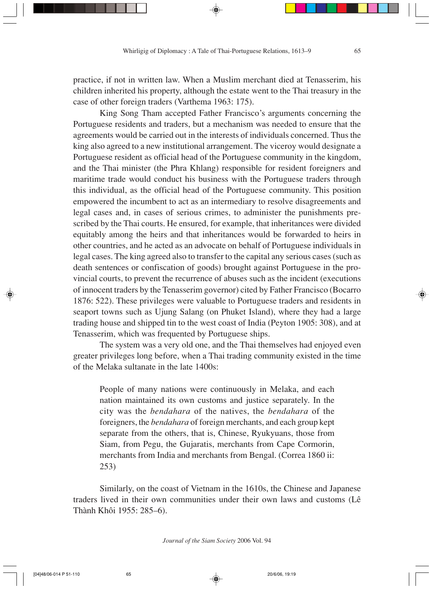practice, if not in written law. When a Muslim merchant died at Tenasserim, his children inherited his property, although the estate went to the Thai treasury in the case of other foreign traders (Varthema 1963: 175).

King Song Tham accepted Father Francisco's arguments concerning the Portuguese residents and traders, but a mechanism was needed to ensure that the agreements would be carried out in the interests of individuals concerned. Thus the king also agreed to a new institutional arrangement. The viceroy would designate a Portuguese resident as official head of the Portuguese community in the kingdom, and the Thai minister (the Phra Khlang) responsible for resident foreigners and maritime trade would conduct his business with the Portuguese traders through this individual, as the official head of the Portuguese community. This position empowered the incumbent to act as an intermediary to resolve disagreements and legal cases and, in cases of serious crimes, to administer the punishments prescribed by the Thai courts. He ensured, for example, that inheritances were divided equitably among the heirs and that inheritances would be forwarded to heirs in other countries, and he acted as an advocate on behalf of Portuguese individuals in legal cases. The king agreed also to transfer to the capital any serious cases (such as death sentences or confiscation of goods) brought against Portuguese in the provincial courts, to prevent the recurrence of abuses such as the incident (executions of innocent traders by the Tenasserim governor) cited by Father Francisco (Bocarro 1876: 522). These privileges were valuable to Portuguese traders and residents in seaport towns such as Ujung Salang (on Phuket Island), where they had a large trading house and shipped tin to the west coast of India (Peyton 1905: 308), and at Tenasserim, which was frequented by Portuguese ships.

The system was a very old one, and the Thai themselves had enjoyed even greater privileges long before, when a Thai trading community existed in the time of the Melaka sultanate in the late 1400s:

People of many nations were continuously in Melaka, and each nation maintained its own customs and justice separately. In the city was the *bendahara* of the natives, the *bendahara* of the foreigners, the *bendahara* of foreign merchants, and each group kept separate from the others, that is, Chinese, Ryukyuans, those from Siam, from Pegu, the Gujaratis, merchants from Cape Cormorin, merchants from India and merchants from Bengal. (Correa 1860 ii: 253)

Similarly, on the coast of Vietnam in the 1610s, the Chinese and Japanese traders lived in their own communities under their own laws and customs (Lê Thành Khôi 1955: 285–6).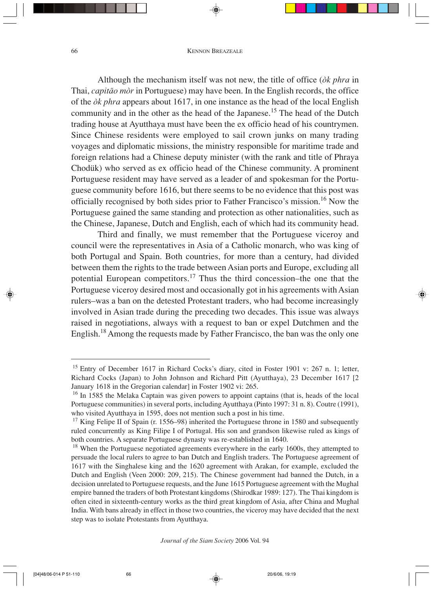Although the mechanism itself was not new, the title of office (*òk phra* in Thai, *capitão mòr* in Portuguese) may have been. In the English records, the office of the *òk phra* appears about 1617, in one instance as the head of the local English community and in the other as the head of the Japanese.<sup>15</sup> The head of the Dutch trading house at Ayutthaya must have been the ex officio head of his countrymen. Since Chinese residents were employed to sail crown junks on many trading voyages and diplomatic missions, the ministry responsible for maritime trade and foreign relations had a Chinese deputy minister (with the rank and title of Phraya Chodük) who served as ex officio head of the Chinese community. A prominent Portuguese resident may have served as a leader of and spokesman for the Portuguese community before 1616, but there seems to be no evidence that this post was officially recognised by both sides prior to Father Francisco's mission.16 Now the Portuguese gained the same standing and protection as other nationalities, such as the Chinese, Japanese, Dutch and English, each of which had its community head.

Third and finally, we must remember that the Portuguese viceroy and council were the representatives in Asia of a Catholic monarch, who was king of both Portugal and Spain. Both countries, for more than a century, had divided between them the rights to the trade between Asian ports and Europe, excluding all potential European competitors.<sup>17</sup> Thus the third concession–the one that the Portuguese viceroy desired most and occasionally got in his agreements with Asian rulers–was a ban on the detested Protestant traders, who had become increasingly involved in Asian trade during the preceding two decades. This issue was always raised in negotiations, always with a request to ban or expel Dutchmen and the English.18 Among the requests made by Father Francisco, the ban was the only one

<sup>&</sup>lt;sup>15</sup> Entry of December 1617 in Richard Cocks's diary, cited in Foster 1901 v: 267 n. 1; letter, Richard Cocks (Japan) to John Johnson and Richard Pitt (Ayutthaya), 23 December 1617 [2 January 1618 in the Gregorian calendar] in Foster 1902 vi: 265.

<sup>&</sup>lt;sup>16</sup> In 1585 the Melaka Captain was given powers to appoint captains (that is, heads of the local Portuguese communities) in several ports, including Ayutthaya (Pinto 1997: 31 n. 8). Coutre (1991), who visited Ayutthaya in 1595, does not mention such a post in his time.

<sup>&</sup>lt;sup>17</sup> King Felipe II of Spain (r. 1556–98) inherited the Portuguese throne in 1580 and subsequently ruled concurrently as King Filipe I of Portugal. His son and grandson likewise ruled as kings of both countries. A separate Portuguese dynasty was re-established in 1640.

<sup>&</sup>lt;sup>18</sup> When the Portuguese negotiated agreements everywhere in the early 1600s, they attempted to persuade the local rulers to agree to ban Dutch and English traders. The Portuguese agreement of 1617 with the Singhalese king and the 1620 agreement with Arakan, for example, excluded the Dutch and English (Veen 2000: 209, 215). The Chinese government had banned the Dutch, in a decision unrelated to Portuguese requests, and the June 1615 Portuguese agreement with the Mughal empire banned the traders of both Protestant kingdoms (Shirodkar 1989: 127). The Thai kingdom is often cited in sixteenth-century works as the third great kingdom of Asia, after China and Mughal India. With bans already in effect in those two countries, the viceroy may have decided that the next step was to isolate Protestants from Ayutthaya.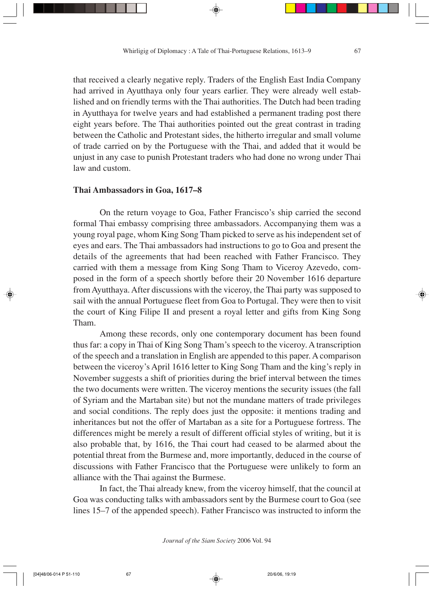that received a clearly negative reply. Traders of the English East India Company had arrived in Ayutthaya only four years earlier. They were already well established and on friendly terms with the Thai authorities. The Dutch had been trading in Ayutthaya for twelve years and had established a permanent trading post there eight years before. The Thai authorities pointed out the great contrast in trading between the Catholic and Protestant sides, the hitherto irregular and small volume of trade carried on by the Portuguese with the Thai, and added that it would be unjust in any case to punish Protestant traders who had done no wrong under Thai law and custom.

### **Thai Ambassadors in Goa, 1617–8**

On the return voyage to Goa, Father Francisco's ship carried the second formal Thai embassy comprising three ambassadors. Accompanying them was a young royal page, whom King Song Tham picked to serve as his independent set of eyes and ears. The Thai ambassadors had instructions to go to Goa and present the details of the agreements that had been reached with Father Francisco. They carried with them a message from King Song Tham to Viceroy Azevedo, composed in the form of a speech shortly before their 20 November 1616 departure from Ayutthaya. After discussions with the viceroy, the Thai party was supposed to sail with the annual Portuguese fleet from Goa to Portugal. They were then to visit the court of King Filipe II and present a royal letter and gifts from King Song Tham.

Among these records, only one contemporary document has been found thus far: a copy in Thai of King Song Tham's speech to the viceroy. A transcription of the speech and a translation in English are appended to this paper. A comparison between the viceroy's April 1616 letter to King Song Tham and the king's reply in November suggests a shift of priorities during the brief interval between the times the two documents were written. The viceroy mentions the security issues (the fall of Syriam and the Martaban site) but not the mundane matters of trade privileges and social conditions. The reply does just the opposite: it mentions trading and inheritances but not the offer of Martaban as a site for a Portuguese fortress. The differences might be merely a result of different official styles of writing, but it is also probable that, by 1616, the Thai court had ceased to be alarmed about the potential threat from the Burmese and, more importantly, deduced in the course of discussions with Father Francisco that the Portuguese were unlikely to form an alliance with the Thai against the Burmese.

In fact, the Thai already knew, from the viceroy himself, that the council at Goa was conducting talks with ambassadors sent by the Burmese court to Goa (see lines 15–7 of the appended speech). Father Francisco was instructed to inform the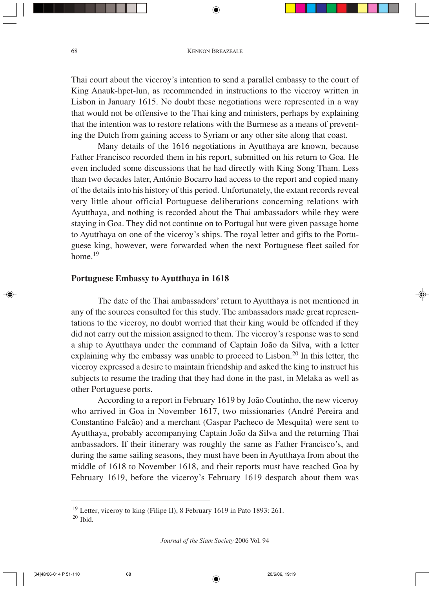Thai court about the viceroy's intention to send a parallel embassy to the court of King Anauk-hpet-lun, as recommended in instructions to the viceroy written in Lisbon in January 1615. No doubt these negotiations were represented in a way that would not be offensive to the Thai king and ministers, perhaps by explaining that the intention was to restore relations with the Burmese as a means of preventing the Dutch from gaining access to Syriam or any other site along that coast.

Many details of the 1616 negotiations in Ayutthaya are known, because Father Francisco recorded them in his report, submitted on his return to Goa. He even included some discussions that he had directly with King Song Tham. Less than two decades later, António Bocarro had access to the report and copied many of the details into his history of this period. Unfortunately, the extant records reveal very little about official Portuguese deliberations concerning relations with Ayutthaya, and nothing is recorded about the Thai ambassadors while they were staying in Goa. They did not continue on to Portugal but were given passage home to Ayutthaya on one of the viceroy's ships. The royal letter and gifts to the Portuguese king, however, were forwarded when the next Portuguese fleet sailed for home. $19$ 

# **Portuguese Embassy to Ayutthaya in 1618**

The date of the Thai ambassadors' return to Ayutthaya is not mentioned in any of the sources consulted for this study. The ambassadors made great representations to the viceroy, no doubt worried that their king would be offended if they did not carry out the mission assigned to them. The viceroy's response was to send a ship to Ayutthaya under the command of Captain João da Silva, with a letter explaining why the embassy was unable to proceed to Lisbon.<sup>20</sup> In this letter, the viceroy expressed a desire to maintain friendship and asked the king to instruct his subjects to resume the trading that they had done in the past, in Melaka as well as other Portuguese ports.

According to a report in February 1619 by João Coutinho, the new viceroy who arrived in Goa in November 1617, two missionaries (André Pereira and Constantino Falcão) and a merchant (Gaspar Pacheco de Mesquita) were sent to Ayutthaya, probably accompanying Captain João da Silva and the returning Thai ambassadors. If their itinerary was roughly the same as Father Francisco's, and during the same sailing seasons, they must have been in Ayutthaya from about the middle of 1618 to November 1618, and their reports must have reached Goa by February 1619, before the viceroy's February 1619 despatch about them was

68

<sup>&</sup>lt;sup>19</sup> Letter, viceroy to king (Filipe II), 8 February 1619 in Pato 1893: 261.

 $20$  Ibid.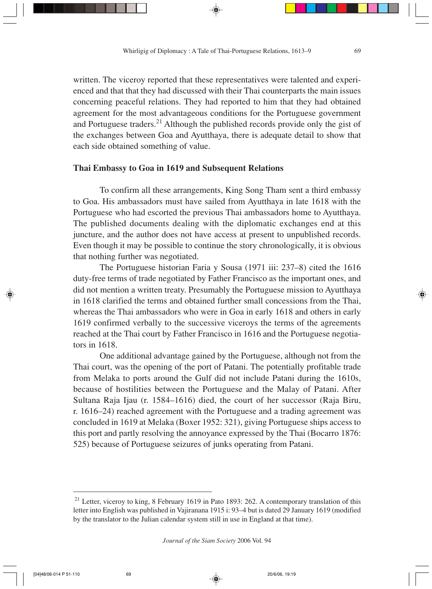written. The viceroy reported that these representatives were talented and experienced and that that they had discussed with their Thai counterparts the main issues concerning peaceful relations. They had reported to him that they had obtained agreement for the most advantageous conditions for the Portuguese government and Portuguese traders.<sup>21</sup> Although the published records provide only the gist of the exchanges between Goa and Ayutthaya, there is adequate detail to show that each side obtained something of value.

### **Thai Embassy to Goa in 1619 and Subsequent Relations**

To confirm all these arrangements, King Song Tham sent a third embassy to Goa. His ambassadors must have sailed from Ayutthaya in late 1618 with the Portuguese who had escorted the previous Thai ambassadors home to Ayutthaya. The published documents dealing with the diplomatic exchanges end at this juncture, and the author does not have access at present to unpublished records. Even though it may be possible to continue the story chronologically, it is obvious that nothing further was negotiated.

The Portuguese historian Faria y Sousa (1971 iii: 237–8) cited the 1616 duty-free terms of trade negotiated by Father Francisco as the important ones, and did not mention a written treaty. Presumably the Portuguese mission to Ayutthaya in 1618 clarified the terms and obtained further small concessions from the Thai, whereas the Thai ambassadors who were in Goa in early 1618 and others in early 1619 confirmed verbally to the successive viceroys the terms of the agreements reached at the Thai court by Father Francisco in 1616 and the Portuguese negotiators in 1618.

One additional advantage gained by the Portuguese, although not from the Thai court, was the opening of the port of Patani. The potentially profitable trade from Melaka to ports around the Gulf did not include Patani during the 1610s, because of hostilities between the Portuguese and the Malay of Patani. After Sultana Raja Ijau (r. 1584–1616) died, the court of her successor (Raja Biru, r. 1616–24) reached agreement with the Portuguese and a trading agreement was concluded in 1619 at Melaka (Boxer 1952: 321), giving Portuguese ships access to this port and partly resolving the annoyance expressed by the Thai (Bocarro 1876: 525) because of Portuguese seizures of junks operating from Patani.

<sup>&</sup>lt;sup>21</sup> Letter, viceroy to king, 8 February 1619 in Pato 1893: 262. A contemporary translation of this letter into English was published in Vajiranana 1915 i: 93–4 but is dated 29 January 1619 (modified by the translator to the Julian calendar system still in use in England at that time).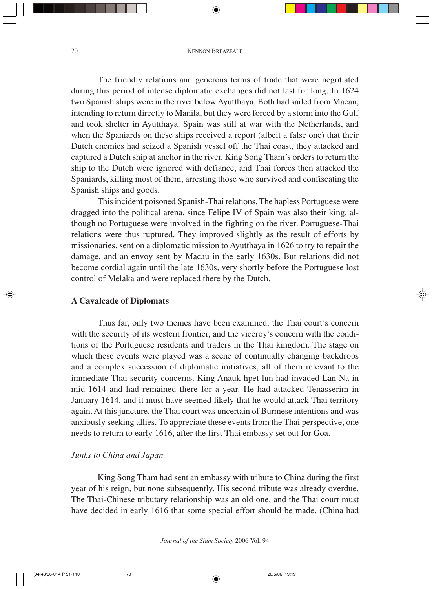The friendly relations and generous terms of trade that were negotiated during this period of intense diplomatic exchanges did not last for long. In 1624 two Spanish ships were in the river below Ayutthaya. Both had sailed from Macau, intending to return directly to Manila, but they were forced by a storm into the Gulf and took shelter in Ayutthaya. Spain was still at war with the Netherlands, and when the Spaniards on these ships received a report (albeit a false one) that their Dutch enemies had seized a Spanish vessel off the Thai coast, they attacked and captured a Dutch ship at anchor in the river. King Song Tham's orders to return the ship to the Dutch were ignored with defiance, and Thai forces then attacked the Spaniards, killing most of them, arresting those who survived and confiscating the Spanish ships and goods.

This incident poisoned Spanish-Thai relations. The hapless Portuguese were dragged into the political arena, since Felipe IV of Spain was also their king, although no Portuguese were involved in the fighting on the river. Portuguese-Thai relations were thus ruptured. They improved slightly as the result of efforts by missionaries, sent on a diplomatic mission to Ayutthaya in 1626 to try to repair the damage, and an envoy sent by Macau in the early 1630s. But relations did not become cordial again until the late 1630s, very shortly before the Portuguese lost control of Melaka and were replaced there by the Dutch.

# **A Cavalcade of Diplomats**

Thus far, only two themes have been examined: the Thai court's concern with the security of its western frontier, and the viceroy's concern with the conditions of the Portuguese residents and traders in the Thai kingdom. The stage on which these events were played was a scene of continually changing backdrops and a complex succession of diplomatic initiatives, all of them relevant to the immediate Thai security concerns. King Anauk-hpet-lun had invaded Lan Na in mid-1614 and had remained there for a year. He had attacked Tenasserim in January 1614, and it must have seemed likely that he would attack Thai territory again. At this juncture, the Thai court was uncertain of Burmese intentions and was anxiously seeking allies. To appreciate these events from the Thai perspective, one needs to return to early 1616, after the first Thai embassy set out for Goa.

## *Junks to China and Japan*

King Song Tham had sent an embassy with tribute to China during the first year of his reign, but none subsequently. His second tribute was already overdue. The Thai-Chinese tributary relationship was an old one, and the Thai court must have decided in early 1616 that some special effort should be made. (China had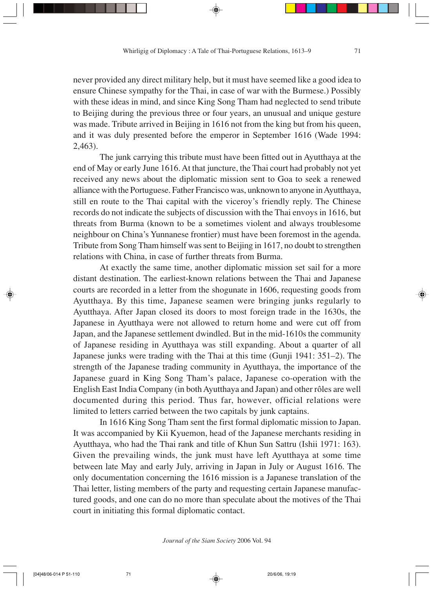never provided any direct military help, but it must have seemed like a good idea to ensure Chinese sympathy for the Thai, in case of war with the Burmese.) Possibly with these ideas in mind, and since King Song Tham had neglected to send tribute to Beijing during the previous three or four years, an unusual and unique gesture was made. Tribute arrived in Beijing in 1616 not from the king but from his queen, and it was duly presented before the emperor in September 1616 (Wade 1994: 2,463).

The junk carrying this tribute must have been fitted out in Ayutthaya at the end of May or early June 1616. At that juncture, the Thai court had probably not yet received any news about the diplomatic mission sent to Goa to seek a renewed alliance with the Portuguese. Father Francisco was, unknown to anyone in Ayutthaya, still en route to the Thai capital with the viceroy's friendly reply. The Chinese records do not indicate the subjects of discussion with the Thai envoys in 1616, but threats from Burma (known to be a sometimes violent and always troublesome neighbour on China's Yunnanese frontier) must have been foremost in the agenda. Tribute from Song Tham himself was sent to Beijing in 1617, no doubt to strengthen relations with China, in case of further threats from Burma.

At exactly the same time, another diplomatic mission set sail for a more distant destination. The earliest-known relations between the Thai and Japanese courts are recorded in a letter from the shogunate in 1606, requesting goods from Ayutthaya. By this time, Japanese seamen were bringing junks regularly to Ayutthaya. After Japan closed its doors to most foreign trade in the 1630s, the Japanese in Ayutthaya were not allowed to return home and were cut off from Japan, and the Japanese settlement dwindled. But in the mid-1610s the community of Japanese residing in Ayutthaya was still expanding. About a quarter of all Japanese junks were trading with the Thai at this time (Gunji 1941: 351–2). The strength of the Japanese trading community in Ayutthaya, the importance of the Japanese guard in King Song Tham's palace, Japanese co-operation with the English East India Company (in both Ayutthaya and Japan) and other rôles are well documented during this period. Thus far, however, official relations were limited to letters carried between the two capitals by junk captains.

In 1616 King Song Tham sent the first formal diplomatic mission to Japan. It was accompanied by Kii Kyuemon, head of the Japanese merchants residing in Ayutthaya, who had the Thai rank and title of Khun Sun Sattru (Ishii 1971: 163). Given the prevailing winds, the junk must have left Ayutthaya at some time between late May and early July, arriving in Japan in July or August 1616. The only documentation concerning the 1616 mission is a Japanese translation of the Thai letter, listing members of the party and requesting certain Japanese manufactured goods, and one can do no more than speculate about the motives of the Thai court in initiating this formal diplomatic contact.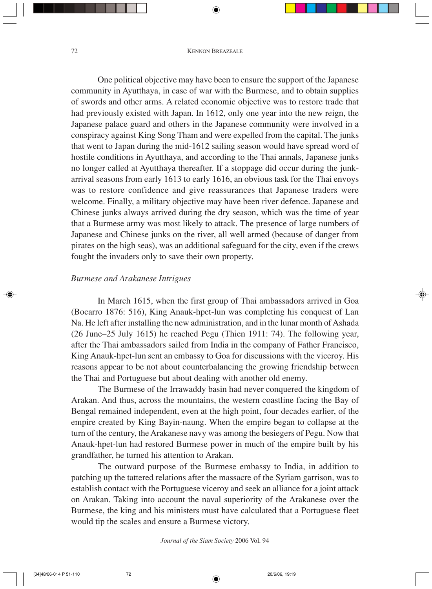One political objective may have been to ensure the support of the Japanese community in Ayutthaya, in case of war with the Burmese, and to obtain supplies of swords and other arms. A related economic objective was to restore trade that had previously existed with Japan. In 1612, only one year into the new reign, the Japanese palace guard and others in the Japanese community were involved in a conspiracy against King Song Tham and were expelled from the capital. The junks that went to Japan during the mid-1612 sailing season would have spread word of hostile conditions in Ayutthaya, and according to the Thai annals, Japanese junks no longer called at Ayutthaya thereafter. If a stoppage did occur during the junkarrival seasons from early 1613 to early 1616, an obvious task for the Thai envoys was to restore confidence and give reassurances that Japanese traders were welcome. Finally, a military objective may have been river defence. Japanese and Chinese junks always arrived during the dry season, which was the time of year that a Burmese army was most likely to attack. The presence of large numbers of Japanese and Chinese junks on the river, all well armed (because of danger from pirates on the high seas), was an additional safeguard for the city, even if the crews fought the invaders only to save their own property.

### *Burmese and Arakanese Intrigues*

72

In March 1615, when the first group of Thai ambassadors arrived in Goa (Bocarro 1876: 516), King Anauk-hpet-lun was completing his conquest of Lan Na. He left after installing the new administration, and in the lunar month of Ashada (26 June–25 July 1615) he reached Pegu (Thien 1911: 74). The following year, after the Thai ambassadors sailed from India in the company of Father Francisco, King Anauk-hpet-lun sent an embassy to Goa for discussions with the viceroy. His reasons appear to be not about counterbalancing the growing friendship between the Thai and Portuguese but about dealing with another old enemy.

The Burmese of the Irrawaddy basin had never conquered the kingdom of Arakan. And thus, across the mountains, the western coastline facing the Bay of Bengal remained independent, even at the high point, four decades earlier, of the empire created by King Bayin-naung. When the empire began to collapse at the turn of the century, the Arakanese navy was among the besiegers of Pegu. Now that Anauk-hpet-lun had restored Burmese power in much of the empire built by his grandfather, he turned his attention to Arakan.

The outward purpose of the Burmese embassy to India, in addition to patching up the tattered relations after the massacre of the Syriam garrison, was to establish contact with the Portuguese viceroy and seek an alliance for a joint attack on Arakan. Taking into account the naval superiority of the Arakanese over the Burmese, the king and his ministers must have calculated that a Portuguese fleet would tip the scales and ensure a Burmese victory.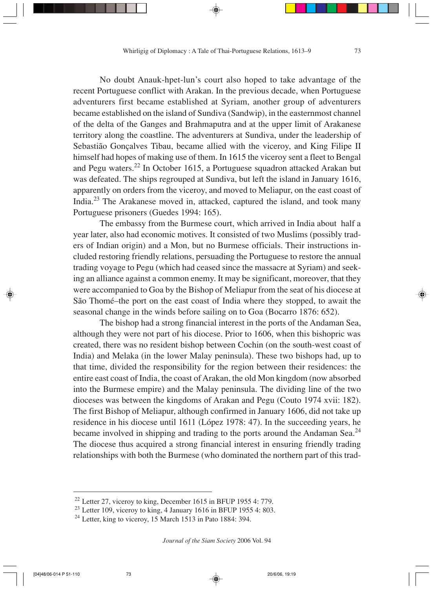Whirligig of Diplomacy : A Tale of Thai-Portuguese Relations, 1613–9 73

No doubt Anauk-hpet-lun's court also hoped to take advantage of the recent Portuguese conflict with Arakan. In the previous decade, when Portuguese adventurers first became established at Syriam, another group of adventurers became established on the island of Sundiva (Sandwip), in the easternmost channel of the delta of the Ganges and Brahmaputra and at the upper limit of Arakanese territory along the coastline. The adventurers at Sundiva, under the leadership of Sebastião Gonçalves Tibau, became allied with the viceroy, and King Filipe II himself had hopes of making use of them. In 1615 the viceroy sent a fleet to Bengal and Pegu waters.22 In October 1615, a Portuguese squadron attacked Arakan but was defeated. The ships regrouped at Sundiva, but left the island in January 1616, apparently on orders from the viceroy, and moved to Meliapur, on the east coast of India.<sup>23</sup> The Arakanese moved in, attacked, captured the island, and took many Portuguese prisoners (Guedes 1994: 165).

The embassy from the Burmese court, which arrived in India about half a year later, also had economic motives. It consisted of two Muslims (possibly traders of Indian origin) and a Mon, but no Burmese officials. Their instructions included restoring friendly relations, persuading the Portuguese to restore the annual trading voyage to Pegu (which had ceased since the massacre at Syriam) and seeking an alliance against a common enemy. It may be significant, moreover, that they were accompanied to Goa by the Bishop of Meliapur from the seat of his diocese at São Thomé–the port on the east coast of India where they stopped, to await the seasonal change in the winds before sailing on to Goa (Bocarro 1876: 652).

The bishop had a strong financial interest in the ports of the Andaman Sea, although they were not part of his diocese. Prior to 1606, when this bishopric was created, there was no resident bishop between Cochin (on the south-west coast of India) and Melaka (in the lower Malay peninsula). These two bishops had, up to that time, divided the responsibility for the region between their residences: the entire east coast of India, the coast of Arakan, the old Mon kingdom (now absorbed into the Burmese empire) and the Malay peninsula. The dividing line of the two dioceses was between the kingdoms of Arakan and Pegu (Couto 1974 xvii: 182). The first Bishop of Meliapur, although confirmed in January 1606, did not take up residence in his diocese until 1611 (López 1978: 47). In the succeeding years, he became involved in shipping and trading to the ports around the Andaman Sea.<sup>24</sup> The diocese thus acquired a strong financial interest in ensuring friendly trading relationships with both the Burmese (who dominated the northern part of this trad-

 $^{22}$  Letter 27, viceroy to king, December 1615 in BFUP 1955 4: 779.

<sup>&</sup>lt;sup>23</sup> Letter 109, viceroy to king, 4 January 1616 in BFUP 1955 4: 803.

 $24$  Letter, king to viceroy, 15 March 1513 in Pato 1884: 394.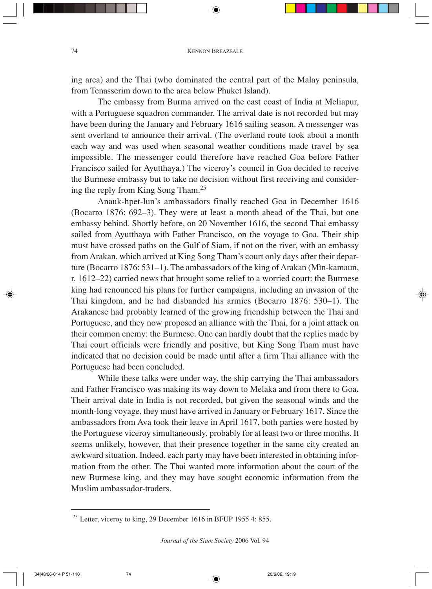ing area) and the Thai (who dominated the central part of the Malay peninsula, from Tenasserim down to the area below Phuket Island).

The embassy from Burma arrived on the east coast of India at Meliapur, with a Portuguese squadron commander. The arrival date is not recorded but may have been during the January and February 1616 sailing season. A messenger was sent overland to announce their arrival. (The overland route took about a month each way and was used when seasonal weather conditions made travel by sea impossible. The messenger could therefore have reached Goa before Father Francisco sailed for Ayutthaya.) The viceroy's council in Goa decided to receive the Burmese embassy but to take no decision without first receiving and considering the reply from King Song Tham.<sup>25</sup>

Anauk-hpet-lun's ambassadors finally reached Goa in December 1616 (Bocarro 1876: 692–3). They were at least a month ahead of the Thai, but one embassy behind. Shortly before, on 20 November 1616, the second Thai embassy sailed from Ayutthaya with Father Francisco, on the voyage to Goa. Their ship must have crossed paths on the Gulf of Siam, if not on the river, with an embassy from Arakan, which arrived at King Song Tham's court only days after their departure (Bocarro 1876: 531–1). The ambassadors of the king of Arakan (Mìn-kamaun, r. 1612–22) carried news that brought some relief to a worried court: the Burmese king had renounced his plans for further campaigns, including an invasion of the Thai kingdom, and he had disbanded his armies (Bocarro 1876: 530–1). The Arakanese had probably learned of the growing friendship between the Thai and Portuguese, and they now proposed an alliance with the Thai, for a joint attack on their common enemy: the Burmese. One can hardly doubt that the replies made by Thai court officials were friendly and positive, but King Song Tham must have indicated that no decision could be made until after a firm Thai alliance with the Portuguese had been concluded.

While these talks were under way, the ship carrying the Thai ambassadors and Father Francisco was making its way down to Melaka and from there to Goa. Their arrival date in India is not recorded, but given the seasonal winds and the month-long voyage, they must have arrived in January or February 1617. Since the ambassadors from Ava took their leave in April 1617, both parties were hosted by the Portuguese viceroy simultaneously, probably for at least two or three months. It seems unlikely, however, that their presence together in the same city created an awkward situation. Indeed, each party may have been interested in obtaining information from the other. The Thai wanted more information about the court of the new Burmese king, and they may have sought economic information from the Muslim ambassador-traders.

*Journal of the Siam Society* 2006 Vol. 94

 $25$  Letter, viceroy to king, 29 December 1616 in BFUP 1955 4: 855.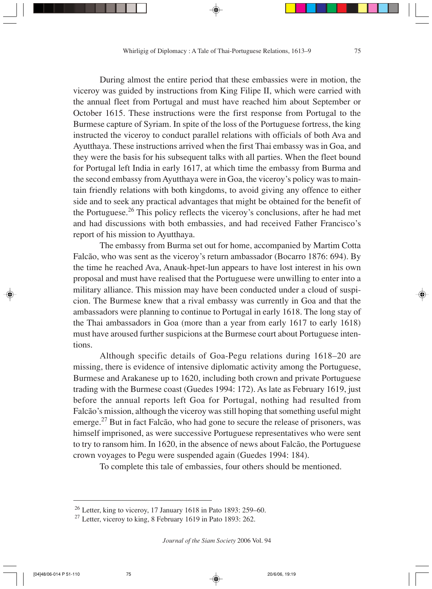Whirligig of Diplomacy : A Tale of Thai-Portuguese Relations, 1613–9 75

During almost the entire period that these embassies were in motion, the viceroy was guided by instructions from King Filipe II, which were carried with the annual fleet from Portugal and must have reached him about September or October 1615. These instructions were the first response from Portugal to the Burmese capture of Syriam. In spite of the loss of the Portuguese fortress, the king instructed the viceroy to conduct parallel relations with officials of both Ava and Ayutthaya. These instructions arrived when the first Thai embassy was in Goa, and they were the basis for his subsequent talks with all parties. When the fleet bound for Portugal left India in early 1617, at which time the embassy from Burma and the second embassy from Ayutthaya were in Goa, the viceroy's policy was to maintain friendly relations with both kingdoms, to avoid giving any offence to either side and to seek any practical advantages that might be obtained for the benefit of the Portuguese.<sup>26</sup> This policy reflects the viceroy's conclusions, after he had met and had discussions with both embassies, and had received Father Francisco's report of his mission to Ayutthaya.

The embassy from Burma set out for home, accompanied by Martim Cotta Falcão, who was sent as the viceroy's return ambassador (Bocarro 1876: 694). By the time he reached Ava, Anauk-hpet-lun appears to have lost interest in his own proposal and must have realised that the Portuguese were unwilling to enter into a military alliance. This mission may have been conducted under a cloud of suspicion. The Burmese knew that a rival embassy was currently in Goa and that the ambassadors were planning to continue to Portugal in early 1618. The long stay of the Thai ambassadors in Goa (more than a year from early 1617 to early 1618) must have aroused further suspicions at the Burmese court about Portuguese intentions.

Although specific details of Goa-Pegu relations during 1618–20 are missing, there is evidence of intensive diplomatic activity among the Portuguese, Burmese and Arakanese up to 1620, including both crown and private Portuguese trading with the Burmese coast (Guedes 1994: 172). As late as February 1619, just before the annual reports left Goa for Portugal, nothing had resulted from Falcão's mission, although the viceroy was still hoping that something useful might emerge. $27$  But in fact Falcão, who had gone to secure the release of prisoners, was himself imprisoned, as were successive Portuguese representatives who were sent to try to ransom him. In 1620, in the absence of news about Falcão, the Portuguese crown voyages to Pegu were suspended again (Guedes 1994: 184).

To complete this tale of embassies, four others should be mentioned.

 $26$  Letter, king to viceroy, 17 January 1618 in Pato 1893: 259–60.

 $27$  Letter, viceroy to king, 8 February 1619 in Pato 1893: 262.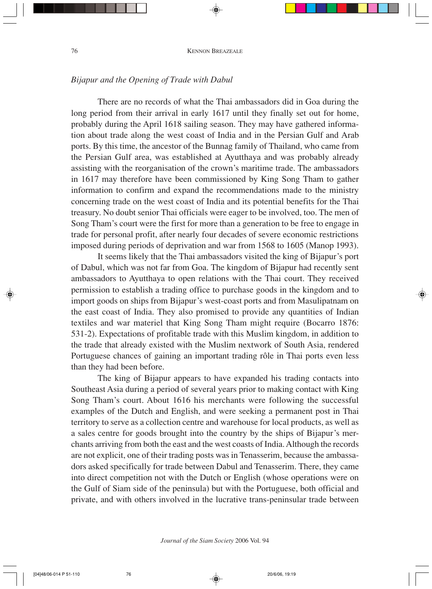# *Bijapur and the Opening of Trade with Dabul*

76

There are no records of what the Thai ambassadors did in Goa during the long period from their arrival in early 1617 until they finally set out for home, probably during the April 1618 sailing season. They may have gathered information about trade along the west coast of India and in the Persian Gulf and Arab ports. By this time, the ancestor of the Bunnag family of Thailand, who came from the Persian Gulf area, was established at Ayutthaya and was probably already assisting with the reorganisation of the crown's maritime trade. The ambassadors in 1617 may therefore have been commissioned by King Song Tham to gather information to confirm and expand the recommendations made to the ministry concerning trade on the west coast of India and its potential benefits for the Thai treasury. No doubt senior Thai officials were eager to be involved, too. The men of Song Tham's court were the first for more than a generation to be free to engage in trade for personal profit, after nearly four decades of severe economic restrictions imposed during periods of deprivation and war from 1568 to 1605 (Manop 1993).

It seems likely that the Thai ambassadors visited the king of Bijapur's port of Dabul, which was not far from Goa. The kingdom of Bijapur had recently sent ambassadors to Ayutthaya to open relations with the Thai court. They received permission to establish a trading office to purchase goods in the kingdom and to import goods on ships from Bijapur's west-coast ports and from Masulipatnam on the east coast of India. They also promised to provide any quantities of Indian textiles and war materiel that King Song Tham might require (Bocarro 1876: 531-2). Expectations of profitable trade with this Muslim kingdom, in addition to the trade that already existed with the Muslim nextwork of South Asia, rendered Portuguese chances of gaining an important trading rôle in Thai ports even less than they had been before.

The king of Bijapur appears to have expanded his trading contacts into Southeast Asia during a period of several years prior to making contact with King Song Tham's court. About 1616 his merchants were following the successful examples of the Dutch and English, and were seeking a permanent post in Thai territory to serve as a collection centre and warehouse for local products, as well as a sales centre for goods brought into the country by the ships of Bijapur's merchants arriving from both the east and the west coasts of India. Although the records are not explicit, one of their trading posts was in Tenasserim, because the ambassadors asked specifically for trade between Dabul and Tenasserim. There, they came into direct competition not with the Dutch or English (whose operations were on the Gulf of Siam side of the peninsula) but with the Portuguese, both official and private, and with others involved in the lucrative trans-peninsular trade between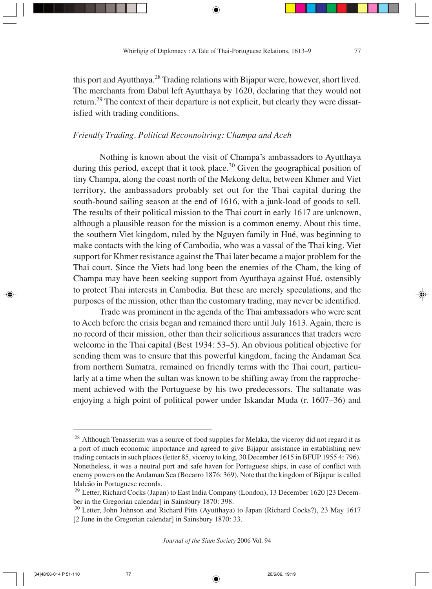this port and Ayutthaya.<sup>28</sup> Trading relations with Bijapur were, however, short lived. The merchants from Dabul left Ayutthaya by 1620, declaring that they would not return.<sup>29</sup> The context of their departure is not explicit, but clearly they were dissatisfied with trading conditions.

# *Friendly Trading, Political Reconnoitring: Champa and Aceh*

Nothing is known about the visit of Champa's ambassadors to Ayutthaya during this period, except that it took place.<sup>30</sup> Given the geographical position of tiny Champa, along the coast north of the Mekong delta, between Khmer and Viet territory, the ambassadors probably set out for the Thai capital during the south-bound sailing season at the end of 1616, with a junk-load of goods to sell. The results of their political mission to the Thai court in early 1617 are unknown, although a plausible reason for the mission is a common enemy. About this time, the southern Viet kingdom, ruled by the Nguyen family in Hué, was beginning to make contacts with the king of Cambodia, who was a vassal of the Thai king. Viet support for Khmer resistance against the Thai later became a major problem for the Thai court. Since the Viets had long been the enemies of the Cham, the king of Champa may have been seeking support from Ayutthaya against Hué, ostensibly to protect Thai interests in Cambodia. But these are merely speculations, and the purposes of the mission, other than the customary trading, may never be identified.

Trade was prominent in the agenda of the Thai ambassadors who were sent to Aceh before the crisis began and remained there until July 1613. Again, there is no record of their mission, other than their solicitious assurances that traders were welcome in the Thai capital (Best 1934: 53–5). An obvious political objective for sending them was to ensure that this powerful kingdom, facing the Andaman Sea from northern Sumatra, remained on friendly terms with the Thai court, particularly at a time when the sultan was known to be shifting away from the rapprochement achieved with the Portuguese by his two predecessors. The sultanate was enjoying a high point of political power under Iskandar Muda (r. 1607–36) and

<sup>&</sup>lt;sup>28</sup> Although Tenasserim was a source of food supplies for Melaka, the viceroy did not regard it as a port of much economic importance and agreed to give Bijapur assistance in establishing new trading contacts in such places (letter 85, viceroy to king, 30 December 1615 in BFUP 1955 4: 796). Nonetheless, it was a neutral port and safe haven for Portuguese ships, in case of conflict with enemy powers on the Andaman Sea (Bocarro 1876: 369). Note that the kingdom of Bijapur is called Idalcão in Portuguese records.

<sup>&</sup>lt;sup>29</sup> Letter, Richard Cocks (Japan) to East India Company (London), 13 December 1620 [23 December in the Gregorian calendar] in Sainsbury 1870: 398.

<sup>30</sup> Letter, John Johnson and Richard Pitts (Ayutthaya) to Japan (Richard Cocks?), 23 May 1617 [2 June in the Gregorian calendar] in Sainsbury 1870: 33.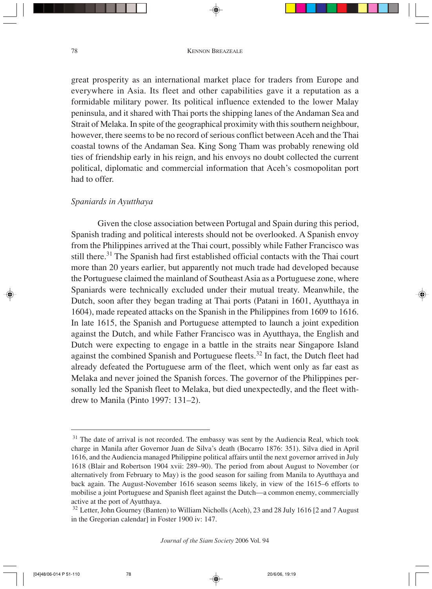great prosperity as an international market place for traders from Europe and everywhere in Asia. Its fleet and other capabilities gave it a reputation as a formidable military power. Its political influence extended to the lower Malay peninsula, and it shared with Thai ports the shipping lanes of the Andaman Sea and Strait of Melaka. In spite of the geographical proximity with this southern neighbour, however, there seems to be no record of serious conflict between Aceh and the Thai coastal towns of the Andaman Sea. King Song Tham was probably renewing old ties of friendship early in his reign, and his envoys no doubt collected the current political, diplomatic and commercial information that Aceh's cosmopolitan port had to offer.

### *Spaniards in Ayutthaya*

Given the close association between Portugal and Spain during this period, Spanish trading and political interests should not be overlooked. A Spanish envoy from the Philippines arrived at the Thai court, possibly while Father Francisco was still there.<sup>31</sup> The Spanish had first established official contacts with the Thai court more than 20 years earlier, but apparently not much trade had developed because the Portuguese claimed the mainland of Southeast Asia as a Portuguese zone, where Spaniards were technically excluded under their mutual treaty. Meanwhile, the Dutch, soon after they began trading at Thai ports (Patani in 1601, Ayutthaya in 1604), made repeated attacks on the Spanish in the Philippines from 1609 to 1616. In late 1615, the Spanish and Portuguese attempted to launch a joint expedition against the Dutch, and while Father Francisco was in Ayutthaya, the English and Dutch were expecting to engage in a battle in the straits near Singapore Island against the combined Spanish and Portuguese fleets.<sup>32</sup> In fact, the Dutch fleet had already defeated the Portuguese arm of the fleet, which went only as far east as Melaka and never joined the Spanish forces. The governor of the Philippines personally led the Spanish fleet to Melaka, but died unexpectedly, and the fleet withdrew to Manila (Pinto 1997: 131–2).

 $31$  The date of arrival is not recorded. The embassy was sent by the Audiencia Real, which took charge in Manila after Governor Juan de Silva's death (Bocarro 1876: 351). Silva died in April 1616, and the Audiencia managed Philippine political affairs until the next governor arrived in July 1618 (Blair and Robertson 1904 xvii: 289–90). The period from about August to November (or alternatively from February to May) is the good season for sailing from Manila to Ayutthaya and back again. The August-November 1616 season seems likely, in view of the 1615–6 efforts to mobilise a joint Portuguese and Spanish fleet against the Dutch—a common enemy, commercially active at the port of Ayutthaya.

<sup>&</sup>lt;sup>32</sup> Letter, John Gourney (Banten) to William Nicholls (Aceh), 23 and 28 July 1616 [2 and 7 August in the Gregorian calendar] in Foster 1900 iv: 147.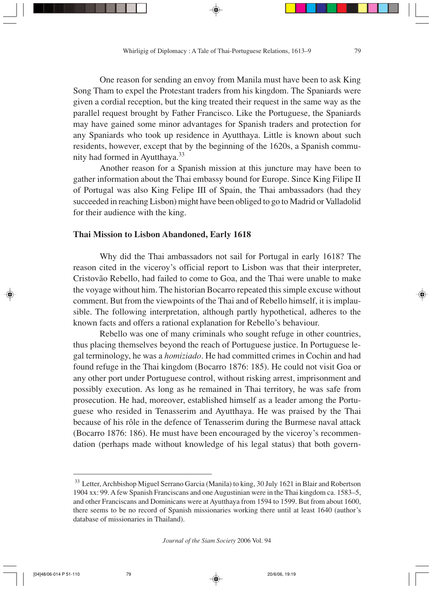One reason for sending an envoy from Manila must have been to ask King Song Tham to expel the Protestant traders from his kingdom. The Spaniards were given a cordial reception, but the king treated their request in the same way as the parallel request brought by Father Francisco. Like the Portuguese, the Spaniards may have gained some minor advantages for Spanish traders and protection for any Spaniards who took up residence in Ayutthaya. Little is known about such residents, however, except that by the beginning of the 1620s, a Spanish community had formed in Ayutthaya.<sup>33</sup>

Another reason for a Spanish mission at this juncture may have been to gather information about the Thai embassy bound for Europe. Since King Filipe II of Portugal was also King Felipe III of Spain, the Thai ambassadors (had they succeeded in reaching Lisbon) might have been obliged to go to Madrid or Valladolid for their audience with the king.

# **Thai Mission to Lisbon Abandoned, Early 1618**

Why did the Thai ambassadors not sail for Portugal in early 1618? The reason cited in the viceroy's official report to Lisbon was that their interpreter, Cristovão Rebello, had failed to come to Goa, and the Thai were unable to make the voyage without him. The historian Bocarro repeated this simple excuse without comment. But from the viewpoints of the Thai and of Rebello himself, it is implausible. The following interpretation, although partly hypothetical, adheres to the known facts and offers a rational explanation for Rebello's behaviour.

Rebello was one of many criminals who sought refuge in other countries, thus placing themselves beyond the reach of Portuguese justice. In Portuguese legal terminology, he was a *homiziado*. He had committed crimes in Cochin and had found refuge in the Thai kingdom (Bocarro 1876: 185). He could not visit Goa or any other port under Portuguese control, without risking arrest, imprisonment and possibly execution. As long as he remained in Thai territory, he was safe from prosecution. He had, moreover, established himself as a leader among the Portuguese who resided in Tenasserim and Ayutthaya. He was praised by the Thai because of his rôle in the defence of Tenasserim during the Burmese naval attack (Bocarro 1876: 186). He must have been encouraged by the viceroy's recommendation (perhaps made without knowledge of his legal status) that both govern-

<sup>&</sup>lt;sup>33</sup> Letter, Archbishop Miguel Serrano Garcia (Manila) to king, 30 July 1621 in Blair and Robertson 1904 xx: 99. A few Spanish Franciscans and one Augustinian were in the Thai kingdom ca. 1583–5, and other Franciscans and Dominicans were at Ayutthaya from 1594 to 1599. But from about 1600, there seems to be no record of Spanish missionaries working there until at least 1640 (author's database of missionaries in Thailand).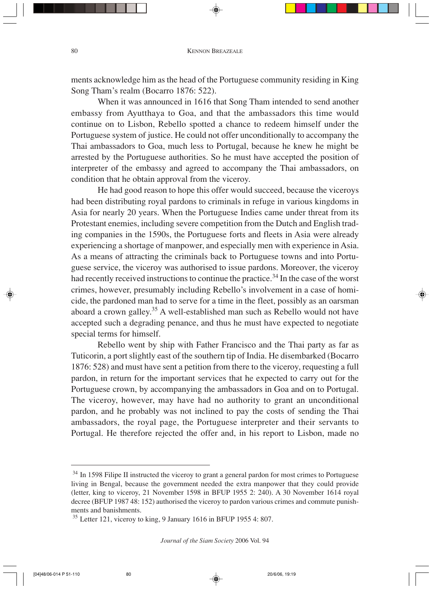ments acknowledge him as the head of the Portuguese community residing in King Song Tham's realm (Bocarro 1876: 522).

When it was announced in 1616 that Song Tham intended to send another embassy from Ayutthaya to Goa, and that the ambassadors this time would continue on to Lisbon, Rebello spotted a chance to redeem himself under the Portuguese system of justice. He could not offer unconditionally to accompany the Thai ambassadors to Goa, much less to Portugal, because he knew he might be arrested by the Portuguese authorities. So he must have accepted the position of interpreter of the embassy and agreed to accompany the Thai ambassadors, on condition that he obtain approval from the viceroy.

He had good reason to hope this offer would succeed, because the viceroys had been distributing royal pardons to criminals in refuge in various kingdoms in Asia for nearly 20 years. When the Portuguese Indies came under threat from its Protestant enemies, including severe competition from the Dutch and English trading companies in the 1590s, the Portuguese forts and fleets in Asia were already experiencing a shortage of manpower, and especially men with experience in Asia. As a means of attracting the criminals back to Portuguese towns and into Portuguese service, the viceroy was authorised to issue pardons. Moreover, the viceroy had recently received instructions to continue the practice.<sup>34</sup> In the case of the worst crimes, however, presumably including Rebello's involvement in a case of homicide, the pardoned man had to serve for a time in the fleet, possibly as an oarsman aboard a crown galley.<sup>35</sup> A well-established man such as Rebello would not have accepted such a degrading penance, and thus he must have expected to negotiate special terms for himself.

Rebello went by ship with Father Francisco and the Thai party as far as Tuticorin, a port slightly east of the southern tip of India. He disembarked (Bocarro 1876: 528) and must have sent a petition from there to the viceroy, requesting a full pardon, in return for the important services that he expected to carry out for the Portuguese crown, by accompanying the ambassadors in Goa and on to Portugal. The viceroy, however, may have had no authority to grant an unconditional pardon, and he probably was not inclined to pay the costs of sending the Thai ambassadors, the royal page, the Portuguese interpreter and their servants to Portugal. He therefore rejected the offer and, in his report to Lisbon, made no

*Journal of the Siam Society* 2006 Vol. 94

<sup>&</sup>lt;sup>34</sup> In 1598 Filipe II instructed the viceroy to grant a general pardon for most crimes to Portuguese living in Bengal, because the government needed the extra manpower that they could provide (letter, king to viceroy, 21 November 1598 in BFUP 1955 2: 240). A 30 November 1614 royal decree (BFUP 1987 48: 152) authorised the viceroy to pardon various crimes and commute punishments and banishments.

 $35$  Letter 121, viceroy to king, 9 January 1616 in BFUP 1955 4: 807.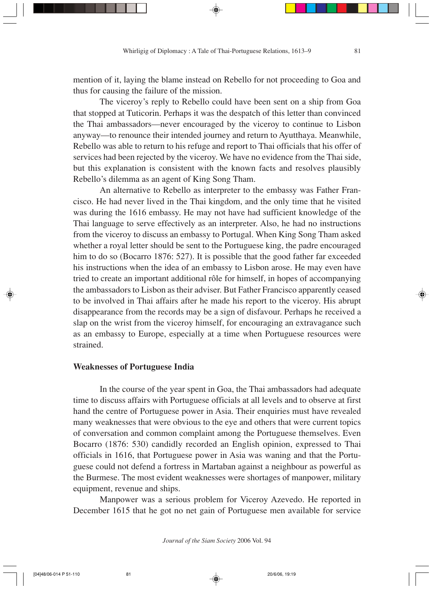mention of it, laying the blame instead on Rebello for not proceeding to Goa and thus for causing the failure of the mission.

The viceroy's reply to Rebello could have been sent on a ship from Goa that stopped at Tuticorin. Perhaps it was the despatch of this letter than convinced the Thai ambassadors—never encouraged by the viceroy to continue to Lisbon anyway—to renounce their intended journey and return to Ayutthaya. Meanwhile, Rebello was able to return to his refuge and report to Thai officials that his offer of services had been rejected by the viceroy. We have no evidence from the Thai side, but this explanation is consistent with the known facts and resolves plausibly Rebello's dilemma as an agent of King Song Tham.

An alternative to Rebello as interpreter to the embassy was Father Francisco. He had never lived in the Thai kingdom, and the only time that he visited was during the 1616 embassy. He may not have had sufficient knowledge of the Thai language to serve effectively as an interpreter. Also, he had no instructions from the viceroy to discuss an embassy to Portugal. When King Song Tham asked whether a royal letter should be sent to the Portuguese king, the padre encouraged him to do so (Bocarro 1876: 527). It is possible that the good father far exceeded his instructions when the idea of an embassy to Lisbon arose. He may even have tried to create an important additional rôle for himself, in hopes of accompanying the ambassadors to Lisbon as their adviser. But Father Francisco apparently ceased to be involved in Thai affairs after he made his report to the viceroy. His abrupt disappearance from the records may be a sign of disfavour. Perhaps he received a slap on the wrist from the viceroy himself, for encouraging an extravagance such as an embassy to Europe, especially at a time when Portuguese resources were strained.

### **Weaknesses of Portuguese India**

In the course of the year spent in Goa, the Thai ambassadors had adequate time to discuss affairs with Portuguese officials at all levels and to observe at first hand the centre of Portuguese power in Asia. Their enquiries must have revealed many weaknesses that were obvious to the eye and others that were current topics of conversation and common complaint among the Portuguese themselves. Even Bocarro (1876: 530) candidly recorded an English opinion, expressed to Thai officials in 1616, that Portuguese power in Asia was waning and that the Portuguese could not defend a fortress in Martaban against a neighbour as powerful as the Burmese. The most evident weaknesses were shortages of manpower, military equipment, revenue and ships.

Manpower was a serious problem for Viceroy Azevedo. He reported in December 1615 that he got no net gain of Portuguese men available for service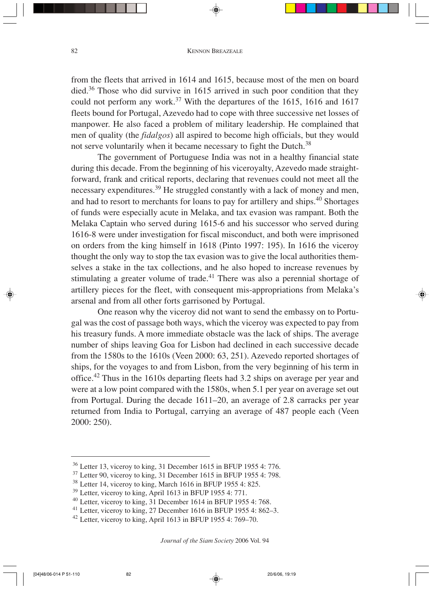from the fleets that arrived in 1614 and 1615, because most of the men on board  $\text{died.}^{36}$  Those who did survive in 1615 arrived in such poor condition that they could not perform any work.<sup>37</sup> With the departures of the 1615, 1616 and 1617 fleets bound for Portugal, Azevedo had to cope with three successive net losses of manpower. He also faced a problem of military leadership. He complained that men of quality (the *fidalgos*) all aspired to become high officials, but they would not serve voluntarily when it became necessary to fight the Dutch.<sup>38</sup>

The government of Portuguese India was not in a healthy financial state during this decade. From the beginning of his viceroyalty, Azevedo made straightforward, frank and critical reports, declaring that revenues could not meet all the necessary expenditures.<sup>39</sup> He struggled constantly with a lack of money and men, and had to resort to merchants for loans to pay for artillery and ships.<sup>40</sup> Shortages of funds were especially acute in Melaka, and tax evasion was rampant. Both the Melaka Captain who served during 1615-6 and his successor who served during 1616-8 were under investigation for fiscal misconduct, and both were imprisoned on orders from the king himself in 1618 (Pinto 1997: 195). In 1616 the viceroy thought the only way to stop the tax evasion was to give the local authorities themselves a stake in the tax collections, and he also hoped to increase revenues by stimulating a greater volume of trade.<sup>41</sup> There was also a perennial shortage of artillery pieces for the fleet, with consequent mis-appropriations from Melaka's arsenal and from all other forts garrisoned by Portugal.

One reason why the viceroy did not want to send the embassy on to Portugal was the cost of passage both ways, which the viceroy was expected to pay from his treasury funds. A more immediate obstacle was the lack of ships. The average number of ships leaving Goa for Lisbon had declined in each successive decade from the 1580s to the 1610s (Veen 2000: 63, 251). Azevedo reported shortages of ships, for the voyages to and from Lisbon, from the very beginning of his term in office.42 Thus in the 1610s departing fleets had 3.2 ships on average per year and were at a low point compared with the 1580s, when 5.1 per year on average set out from Portugal. During the decade 1611–20, an average of 2.8 carracks per year returned from India to Portugal, carrying an average of 487 people each (Veen 2000: 250).

*Journal of the Siam Society* 2006 Vol. 94

<sup>36</sup> Letter 13, viceroy to king, 31 December 1615 in BFUP 1955 4: 776.

<sup>37</sup> Letter 90, viceroy to king, 31 December 1615 in BFUP 1955 4: 798.

<sup>38</sup> Letter 14, viceroy to king, March 1616 in BFUP 1955 4: 825.

<sup>39</sup> Letter, viceroy to king, April 1613 in BFUP 1955 4: 771.

<sup>40</sup> Letter, viceroy to king, 31 December 1614 in BFUP 1955 4: 768.

<sup>41</sup> Letter, viceroy to king, 27 December 1616 in BFUP 1955 4: 862–3.

 $42$  Letter, viceroy to king, April 1613 in BFUP 1955 4: 769–70.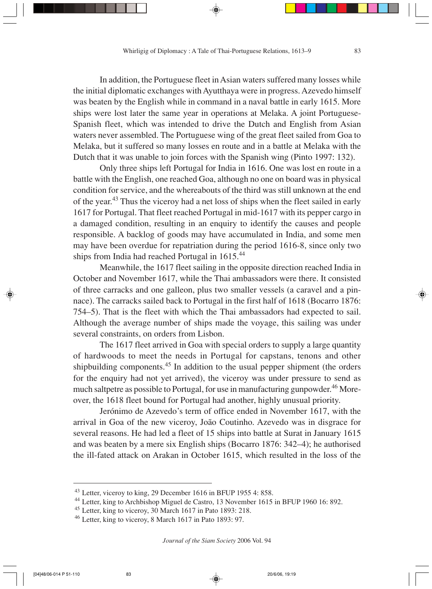In addition, the Portuguese fleet in Asian waters suffered many losses while the initial diplomatic exchanges with Ayutthaya were in progress. Azevedo himself was beaten by the English while in command in a naval battle in early 1615. More ships were lost later the same year in operations at Melaka. A joint Portuguese-Spanish fleet, which was intended to drive the Dutch and English from Asian waters never assembled. The Portuguese wing of the great fleet sailed from Goa to Melaka, but it suffered so many losses en route and in a battle at Melaka with the Dutch that it was unable to join forces with the Spanish wing (Pinto 1997: 132).

Only three ships left Portugal for India in 1616. One was lost en route in a battle with the English, one reached Goa, although no one on board was in physical condition for service, and the whereabouts of the third was still unknown at the end of the year.<sup>43</sup> Thus the viceroy had a net loss of ships when the fleet sailed in early 1617 for Portugal. That fleet reached Portugal in mid-1617 with its pepper cargo in a damaged condition, resulting in an enquiry to identify the causes and people responsible. A backlog of goods may have accumulated in India, and some men may have been overdue for repatriation during the period 1616-8, since only two ships from India had reached Portugal in 1615.<sup>44</sup>

Meanwhile, the 1617 fleet sailing in the opposite direction reached India in October and November 1617, while the Thai ambassadors were there. It consisted of three carracks and one galleon, plus two smaller vessels (a caravel and a pinnace). The carracks sailed back to Portugal in the first half of 1618 (Bocarro 1876: 754–5). That is the fleet with which the Thai ambassadors had expected to sail. Although the average number of ships made the voyage, this sailing was under several constraints, on orders from Lisbon.

The 1617 fleet arrived in Goa with special orders to supply a large quantity of hardwoods to meet the needs in Portugal for capstans, tenons and other shipbuilding components.<sup>45</sup> In addition to the usual pepper shipment (the orders for the enquiry had not yet arrived), the viceroy was under pressure to send as much saltpetre as possible to Portugal, for use in manufacturing gunpowder.<sup>46</sup> Moreover, the 1618 fleet bound for Portugal had another, highly unusual priority.

Jerónimo de Azevedo's term of office ended in November 1617, with the arrival in Goa of the new viceroy, João Coutinho. Azevedo was in disgrace for several reasons. He had led a fleet of 15 ships into battle at Surat in January 1615 and was beaten by a mere six English ships (Bocarro 1876: 342–4); he authorised the ill-fated attack on Arakan in October 1615, which resulted in the loss of the

<sup>43</sup> Letter, viceroy to king, 29 December 1616 in BFUP 1955 4: 858.

<sup>44</sup> Letter, king to Archbishop Miguel de Castro, 13 November 1615 in BFUP 1960 16: 892.

<sup>45</sup> Letter, king to viceroy, 30 March 1617 in Pato 1893: 218.

<sup>46</sup> Letter, king to viceroy, 8 March 1617 in Pato 1893: 97.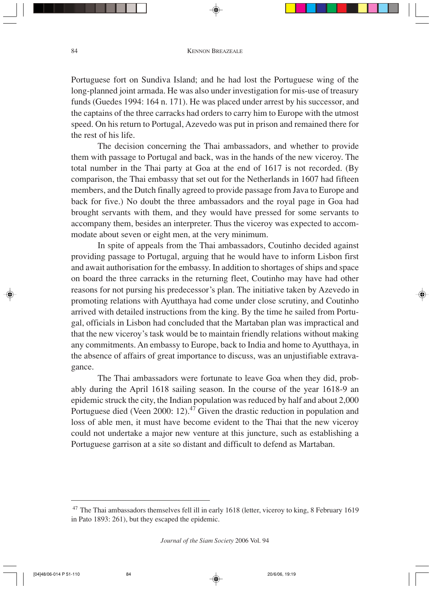Portuguese fort on Sundiva Island; and he had lost the Portuguese wing of the long-planned joint armada. He was also under investigation for mis-use of treasury funds (Guedes 1994: 164 n. 171). He was placed under arrest by his successor, and the captains of the three carracks had orders to carry him to Europe with the utmost speed. On his return to Portugal, Azevedo was put in prison and remained there for the rest of his life.

The decision concerning the Thai ambassadors, and whether to provide them with passage to Portugal and back, was in the hands of the new viceroy. The total number in the Thai party at Goa at the end of 1617 is not recorded. (By comparison, the Thai embassy that set out for the Netherlands in 1607 had fifteen members, and the Dutch finally agreed to provide passage from Java to Europe and back for five.) No doubt the three ambassadors and the royal page in Goa had brought servants with them, and they would have pressed for some servants to accompany them, besides an interpreter. Thus the viceroy was expected to accommodate about seven or eight men, at the very minimum.

In spite of appeals from the Thai ambassadors, Coutinho decided against providing passage to Portugal, arguing that he would have to inform Lisbon first and await authorisation for the embassy. In addition to shortages of ships and space on board the three carracks in the returning fleet, Coutinho may have had other reasons for not pursing his predecessor's plan. The initiative taken by Azevedo in promoting relations with Ayutthaya had come under close scrutiny, and Coutinho arrived with detailed instructions from the king. By the time he sailed from Portugal, officials in Lisbon had concluded that the Martaban plan was impractical and that the new viceroy's task would be to maintain friendly relations without making any commitments. An embassy to Europe, back to India and home to Ayutthaya, in the absence of affairs of great importance to discuss, was an unjustifiable extravagance.

The Thai ambassadors were fortunate to leave Goa when they did, probably during the April 1618 sailing season. In the course of the year 1618-9 an epidemic struck the city, the Indian population was reduced by half and about 2,000 Portuguese died (Veen 2000: 12). $47$  Given the drastic reduction in population and loss of able men, it must have become evident to the Thai that the new viceroy could not undertake a major new venture at this juncture, such as establishing a Portuguese garrison at a site so distant and difficult to defend as Martaban.

*Journal of the Siam Society* 2006 Vol. 94

<sup>&</sup>lt;sup>47</sup> The Thai ambassadors themselves fell ill in early 1618 (letter, viceroy to king, 8 February 1619) in Pato 1893: 261), but they escaped the epidemic.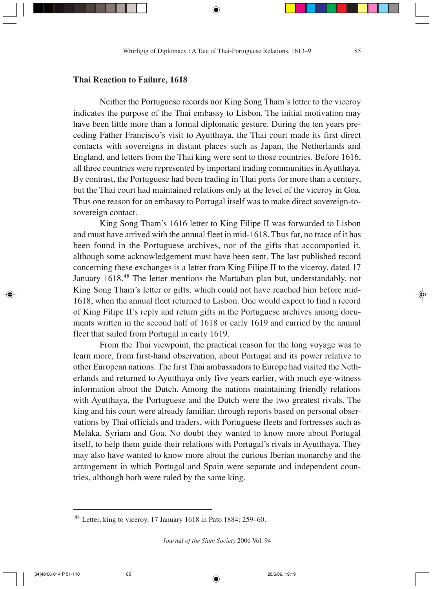### **Thai Reaction to Failure, 1618**

Neither the Portuguese records nor King Song Tham's letter to the viceroy indicates the purpose of the Thai embassy to Lisbon. The initial motivation may have been little more than a formal diplomatic gesture. During the ten years preceding Father Francisco's visit to Ayutthaya, the Thai court made its first direct contacts with sovereigns in distant places such as Japan, the Netherlands and England, and letters from the Thai king were sent to those countries. Before 1616, all three countries were represented by important trading communities in Ayutthaya. By contrast, the Portuguese had been trading in Thai ports for more than a century, but the Thai court had maintained relations only at the level of the viceroy in Goa. Thus one reason for an embassy to Portugal itself was to make direct sovereign-tosovereign contact.

King Song Tham's 1616 letter to King Filipe II was forwarded to Lisbon and must have arrived with the annual fleet in mid-1618. Thus far, no trace of it has been found in the Portuguese archives, nor of the gifts that accompanied it, although some acknowledgement must have been sent. The last published record concerning these exchanges is a letter from King Filipe II to the viceroy, dated 17 January 1618<sup>48</sup> The letter mentions the Martaban plan but, understandably, not King Song Tham's letter or gifts, which could not have reached him before mid-1618, when the annual fleet returned to Lisbon. One would expect to find a record of King Filipe II's reply and return gifts in the Portuguese archives among documents written in the second half of 1618 or early 1619 and carried by the annual fleet that sailed from Portugal in early 1619.

From the Thai viewpoint, the practical reason for the long voyage was to learn more, from first-hand observation, about Portugal and its power relative to other European nations. The first Thai ambassadors to Europe had visited the Netherlands and returned to Ayutthaya only five years earlier, with much eye-witness information about the Dutch. Among the nations maintaining friendly relations with Ayutthaya, the Portuguese and the Dutch were the two greatest rivals. The king and his court were already familiar, through reports based on personal observations by Thai officials and traders, with Portuguese fleets and fortresses such as Melaka, Syriam and Goa. No doubt they wanted to know more about Portugal itself, to help them guide their relations with Portugal's rivals in Ayutthaya. They may also have wanted to know more about the curious Iberian monarchy and the arrangement in which Portugal and Spain were separate and independent countries, although both were ruled by the same king.

<sup>48</sup> Letter, king to viceroy, 17 January 1618 in Pato 1884: 259–60.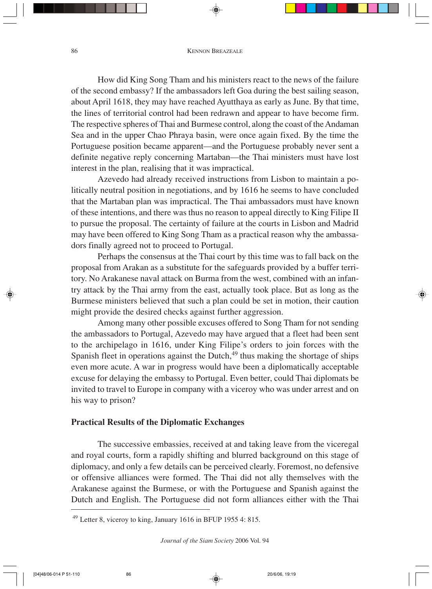How did King Song Tham and his ministers react to the news of the failure of the second embassy? If the ambassadors left Goa during the best sailing season, about April 1618, they may have reached Ayutthaya as early as June. By that time, the lines of territorial control had been redrawn and appear to have become firm. The respective spheres of Thai and Burmese control, along the coast of the Andaman Sea and in the upper Chao Phraya basin, were once again fixed. By the time the Portuguese position became apparent—and the Portuguese probably never sent a definite negative reply concerning Martaban—the Thai ministers must have lost interest in the plan, realising that it was impractical.

Azevedo had already received instructions from Lisbon to maintain a politically neutral position in negotiations, and by 1616 he seems to have concluded that the Martaban plan was impractical. The Thai ambassadors must have known of these intentions, and there was thus no reason to appeal directly to King Filipe II to pursue the proposal. The certainty of failure at the courts in Lisbon and Madrid may have been offered to King Song Tham as a practical reason why the ambassadors finally agreed not to proceed to Portugal.

Perhaps the consensus at the Thai court by this time was to fall back on the proposal from Arakan as a substitute for the safeguards provided by a buffer territory. No Arakanese naval attack on Burma from the west, combined with an infantry attack by the Thai army from the east, actually took place. But as long as the Burmese ministers believed that such a plan could be set in motion, their caution might provide the desired checks against further aggression.

Among many other possible excuses offered to Song Tham for not sending the ambassadors to Portugal, Azevedo may have argued that a fleet had been sent to the archipelago in 1616, under King Filipe's orders to join forces with the Spanish fleet in operations against the Dutch, $49$  thus making the shortage of ships even more acute. A war in progress would have been a diplomatically acceptable excuse for delaying the embassy to Portugal. Even better, could Thai diplomats be invited to travel to Europe in company with a viceroy who was under arrest and on his way to prison?

### **Practical Results of the Diplomatic Exchanges**

The successive embassies, received at and taking leave from the viceregal and royal courts, form a rapidly shifting and blurred background on this stage of diplomacy, and only a few details can be perceived clearly. Foremost, no defensive or offensive alliances were formed. The Thai did not ally themselves with the Arakanese against the Burmese, or with the Portuguese and Spanish against the Dutch and English. The Portuguese did not form alliances either with the Thai

*Journal of the Siam Society* 2006 Vol. 94

<sup>49</sup> Letter 8, viceroy to king, January 1616 in BFUP 1955 4: 815.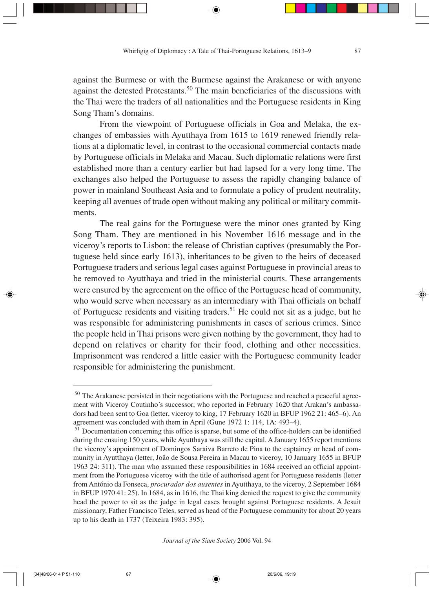against the Burmese or with the Burmese against the Arakanese or with anyone against the detested Protestants.<sup>50</sup> The main beneficiaries of the discussions with the Thai were the traders of all nationalities and the Portuguese residents in King Song Tham's domains.

From the viewpoint of Portuguese officials in Goa and Melaka, the exchanges of embassies with Ayutthaya from 1615 to 1619 renewed friendly relations at a diplomatic level, in contrast to the occasional commercial contacts made by Portuguese officials in Melaka and Macau. Such diplomatic relations were first established more than a century earlier but had lapsed for a very long time. The exchanges also helped the Portuguese to assess the rapidly changing balance of power in mainland Southeast Asia and to formulate a policy of prudent neutrality, keeping all avenues of trade open without making any political or military commitments.

The real gains for the Portuguese were the minor ones granted by King Song Tham. They are mentioned in his November 1616 message and in the viceroy's reports to Lisbon: the release of Christian captives (presumably the Portuguese held since early 1613), inheritances to be given to the heirs of deceased Portuguese traders and serious legal cases against Portuguese in provincial areas to be removed to Ayutthaya and tried in the ministerial courts. These arrangements were ensured by the agreement on the office of the Portuguese head of community, who would serve when necessary as an intermediary with Thai officials on behalf of Portuguese residents and visiting traders.<sup>51</sup> He could not sit as a judge, but he was responsible for administering punishments in cases of serious crimes. Since the people held in Thai prisons were given nothing by the government, they had to depend on relatives or charity for their food, clothing and other necessities. Imprisonment was rendered a little easier with the Portuguese community leader responsible for administering the punishment.

<sup>&</sup>lt;sup>50</sup> The Arakanese persisted in their negotiations with the Portuguese and reached a peaceful agreement with Viceroy Coutinho's successor, who reported in February 1620 that Arakan's ambassadors had been sent to Goa (letter, viceroy to king, 17 February 1620 in BFUP 1962 21: 465–6). An agreement was concluded with them in April (Gune 1972 1: 114, 1A: 493–4).

<sup>&</sup>lt;sup>51</sup> Documentation concerning this office is sparse, but some of the office-holders can be identified during the ensuing 150 years, while Ayutthaya was still the capital. A January 1655 report mentions the viceroy's appointment of Domingos Saraiva Barreto de Pina to the captaincy or head of community in Ayutthaya (letter, João de Sousa Pereira in Macau to viceroy, 10 January 1655 in BFUP 1963 24: 311). The man who assumed these responsibilities in 1684 received an official appointment from the Portuguese viceroy with the title of authorised agent for Portuguese residents (letter from António da Fonseca, *procurador dos ausentes* in Ayutthaya, to the viceroy, 2 September 1684 in BFUP 1970 41: 25). In 1684, as in 1616, the Thai king denied the request to give the community head the power to sit as the judge in legal cases brought against Portuguese residents. A Jesuit missionary, Father Francisco Teles, served as head of the Portuguese community for about 20 years up to his death in 1737 (Teixeira 1983: 395).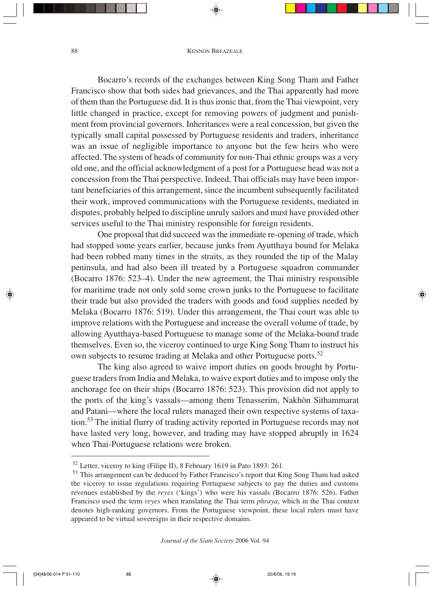Bocarro's records of the exchanges between King Song Tham and Father Francisco show that both sides had grievances, and the Thai apparently had more of them than the Portuguese did. It is thus ironic that, from the Thai viewpoint, very little changed in practice, except for removing powers of judgment and punishment from provincial governors. Inheritances were a real concession, but given the typically small capital possessed by Portuguese residents and traders, inheritance was an issue of negligible importance to anyone but the few heirs who were affected. The system of heads of community for non-Thai ethnic groups was a very old one, and the official acknowledgment of a post for a Portuguese head was not a concession from the Thai perspective. Indeed, Thai officials may have been important beneficiaries of this arrangement, since the incumbent subsequently facilitated their work, improved communications with the Portuguese residents, mediated in disputes, probably helped to discipline unruly sailors and must have provided other services useful to the Thai ministry responsible for foreign residents.

One proposal that did succeed was the immediate re-opening of trade, which had stopped some years earlier, because junks from Ayutthaya bound for Melaka had been robbed many times in the straits, as they rounded the tip of the Malay peninsula, and had also been ill treated by a Portuguese squadron commander (Bocarro 1876: 523–4). Under the new agreement, the Thai ministry responsible for maritime trade not only sold some crown junks to the Portuguese to facilitate their trade but also provided the traders with goods and food supplies needed by Melaka (Bocarro 1876: 519). Under this arrangement, the Thai court was able to improve relations with the Portuguese and increase the overall volume of trade, by allowing Ayutthaya-based Portuguese to manage some of the Melaka-bound trade themselves. Even so, the viceroy continued to urge King Song Tham to instruct his own subjects to resume trading at Melaka and other Portuguese ports.<sup>52</sup>

The king also agreed to waive import duties on goods brought by Portuguese traders from India and Melaka, to waive export duties and to impose only the anchorage fee on their ships (Bocarro 1876: 523). This provision did not apply to the ports of the king's vassals—among them Tenasserim, Nakhòn Sithammarat and Patani—where the local rulers managed their own respective systems of taxation.53 The initial flurry of trading activity reported in Portuguese records may not have lasted very long, however, and trading may have stopped abruptly in 1624 when Thai-Portuguese relations were broken.

<sup>52</sup> Letter, viceroy to king (Filipe II), 8 February 1619 in Pato 1893: 261.

<sup>&</sup>lt;sup>53</sup> This arrangement can be deduced by Father Francisco's report that King Song Tham had asked the viceroy to issue regulations requiring Portuguese subjects to pay the duties and customs revenues established by the *reyes* ('kings') who were his vassals (Bocarro 1876: 526). Father Francisco used the term *reyes* when translating the Thai term *phraya*, which in the Thai context denotes high-ranking governors. From the Portuguese viewpoint, these local rulers must have appeared to be virtual sovereigns in their respective domains.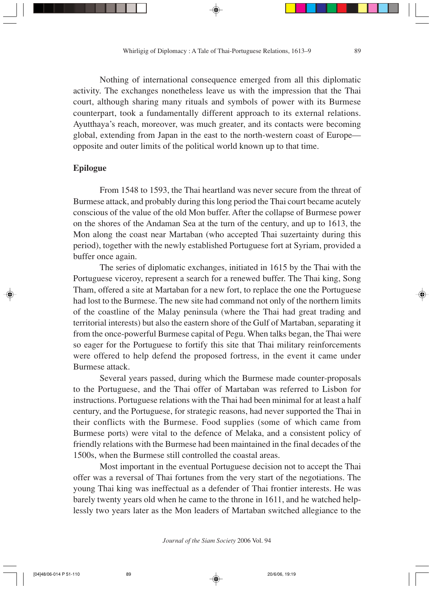Nothing of international consequence emerged from all this diplomatic activity. The exchanges nonetheless leave us with the impression that the Thai court, although sharing many rituals and symbols of power with its Burmese counterpart, took a fundamentally different approach to its external relations. Ayutthaya's reach, moreover, was much greater, and its contacts were becoming global, extending from Japan in the east to the north-western coast of Europe opposite and outer limits of the political world known up to that time.

### **Epilogue**

From 1548 to 1593, the Thai heartland was never secure from the threat of Burmese attack, and probably during this long period the Thai court became acutely conscious of the value of the old Mon buffer. After the collapse of Burmese power on the shores of the Andaman Sea at the turn of the century, and up to 1613, the Mon along the coast near Martaban (who accepted Thai suzertainty during this period), together with the newly established Portuguese fort at Syriam, provided a buffer once again.

The series of diplomatic exchanges, initiated in 1615 by the Thai with the Portuguese viceroy, represent a search for a renewed buffer. The Thai king, Song Tham, offered a site at Martaban for a new fort, to replace the one the Portuguese had lost to the Burmese. The new site had command not only of the northern limits of the coastline of the Malay peninsula (where the Thai had great trading and territorial interests) but also the eastern shore of the Gulf of Martaban, separating it from the once-powerful Burmese capital of Pegu. When talks began, the Thai were so eager for the Portuguese to fortify this site that Thai military reinforcements were offered to help defend the proposed fortress, in the event it came under Burmese attack.

Several years passed, during which the Burmese made counter-proposals to the Portuguese, and the Thai offer of Martaban was referred to Lisbon for instructions. Portuguese relations with the Thai had been minimal for at least a half century, and the Portuguese, for strategic reasons, had never supported the Thai in their conflicts with the Burmese. Food supplies (some of which came from Burmese ports) were vital to the defence of Melaka, and a consistent policy of friendly relations with the Burmese had been maintained in the final decades of the 1500s, when the Burmese still controlled the coastal areas.

Most important in the eventual Portuguese decision not to accept the Thai offer was a reversal of Thai fortunes from the very start of the negotiations. The young Thai king was ineffectual as a defender of Thai frontier interests. He was barely twenty years old when he came to the throne in 1611, and he watched helplessly two years later as the Mon leaders of Martaban switched allegiance to the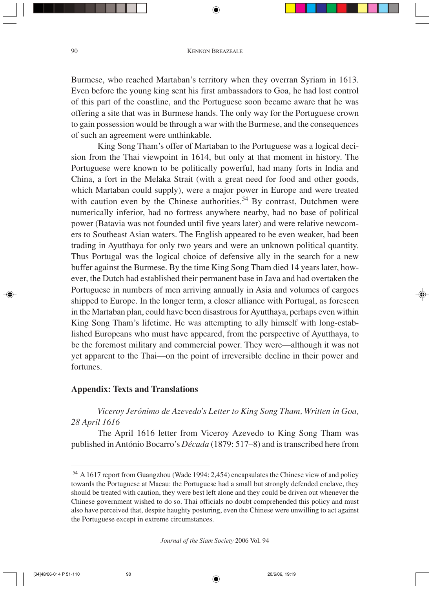Burmese, who reached Martaban's territory when they overran Syriam in 1613. Even before the young king sent his first ambassadors to Goa, he had lost control of this part of the coastline, and the Portuguese soon became aware that he was offering a site that was in Burmese hands. The only way for the Portuguese crown to gain possession would be through a war with the Burmese, and the consequences of such an agreement were unthinkable.

King Song Tham's offer of Martaban to the Portuguese was a logical decision from the Thai viewpoint in 1614, but only at that moment in history. The Portuguese were known to be politically powerful, had many forts in India and China, a fort in the Melaka Strait (with a great need for food and other goods, which Martaban could supply), were a major power in Europe and were treated with caution even by the Chinese authorities.<sup>54</sup> By contrast, Dutchmen were numerically inferior, had no fortress anywhere nearby, had no base of political power (Batavia was not founded until five years later) and were relative newcomers to Southeast Asian waters. The English appeared to be even weaker, had been trading in Ayutthaya for only two years and were an unknown political quantity. Thus Portugal was the logical choice of defensive ally in the search for a new buffer against the Burmese. By the time King Song Tham died 14 years later, however, the Dutch had established their permanent base in Java and had overtaken the Portuguese in numbers of men arriving annually in Asia and volumes of cargoes shipped to Europe. In the longer term, a closer alliance with Portugal, as foreseen in the Martaban plan, could have been disastrous for Ayutthaya, perhaps even within King Song Tham's lifetime. He was attempting to ally himself with long-established Europeans who must have appeared, from the perspective of Ayutthaya, to be the foremost military and commercial power. They were—although it was not yet apparent to the Thai—on the point of irreversible decline in their power and fortunes.

# **Appendix: Texts and Translations**

*Viceroy Jerónimo de Azevedo's Letter to King Song Tham, Written in Goa, 28 April 1616*

The April 1616 letter from Viceroy Azevedo to King Song Tham was published in António Bocarro's *Década* (1879: 517–8) and is transcribed here from

*Journal of the Siam Society* 2006 Vol. 94

<sup>&</sup>lt;sup>54</sup> A 1617 report from Guangzhou (Wade 1994: 2,454) encapsulates the Chinese view of and policy towards the Portuguese at Macau: the Portuguese had a small but strongly defended enclave, they should be treated with caution, they were best left alone and they could be driven out whenever the Chinese government wished to do so. Thai officials no doubt comprehended this policy and must also have perceived that, despite haughty posturing, even the Chinese were unwilling to act against the Portuguese except in extreme circumstances.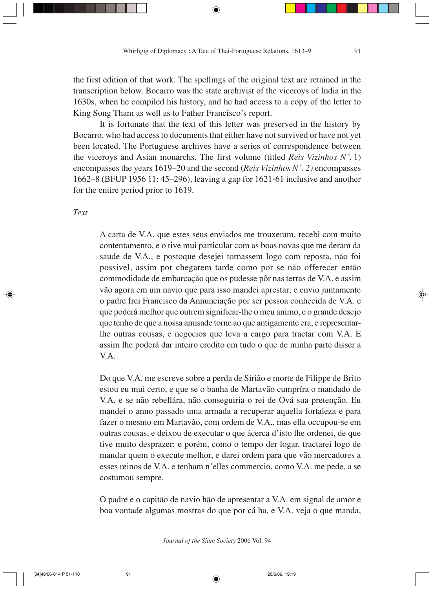the first edition of that work. The spellings of the original text are retained in the transcription below. Bocarro was the state archivist of the viceroys of India in the 1630s, when he compiled his history, and he had access to a copy of the letter to King Song Tham as well as to Father Francisco's report.

It is fortunate that the text of this letter was preserved in the history by Bocarro, who had access to documents that either have not survived or have not yet been located. The Portuguese archives have a series of correspondence between the viceroys and Asian monarchs. The first volume (titled *Reis Vizinhos N˚*. 1) encompasses the years 1619–20 and the second (*Reis Vizinhos N˚. 2)* encompasses 1662–8 (BFUP 1956 11: 45–296), leaving a gap for 1621-61 inclusive and another for the entire period prior to 1619.

*Text*

A carta de V.A. que estes seus enviados me trouxeram, recebi com muito contentamento, e o tive mui particular com as boas novas que me deram da saude de V.A., e postoque desejei tornassem logo com reposta, não foi possivel, assim por chegarem tarde como por se não offerecer então commodidade de embarcação que os pudesse pôr nas terras de V.A. e assim vão agora em um navio que para isso mandei aprestar; e envio juntamente o padre frei Francisco da Annunciação por ser pessoa conhecida de V.A. e que poderá melhor que outrem significar-lhe o meu animo, e o grande desejo que tenho de que a nossa amisade torne ao que antigamente era, e representarlhe outras cousas, e negocios que leva a cargo para tractar com V.A. E assim lhe poderá dar inteiro credito em tudo o que de minha parte disser a V.A.

Do que V.A. me escreve sobre a perda de Sirião e morte de Filippe de Brito estou eu mui certo, e que se o banha de Martavão cumpríra o mandado de V.A. e se não rebellára, não conseguiria o rei de Ová sua pretenção. Eu mandei o anno passado uma armada a recuperar aquella fortaleza e para fazer o mesmo em Martavão, com ordem de V.A., mas ella occupou-se em outras cousas, e deixou de executar o que ácerca d'isto lhe ordenei, de que tive muito desprazer; e porém, como o tempo der logar, tractarei logo de mandar quem o execute melhor, e darei ordem para que vão mercadores a esses reinos de V.A. e tenham n'elles commercio, como V.A. me pede, a se costumou sempre.

O padre e o capitão de navio hão de apresentar a V.A. em signal de amor e boa vontade algumas mostras do que por cá ha, e V.A. veja o que manda,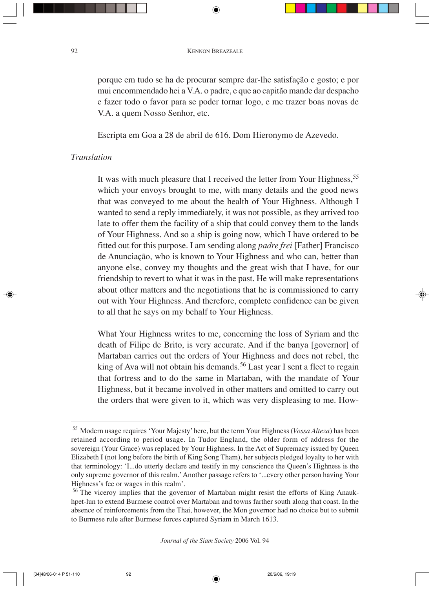porque em tudo se ha de procurar sempre dar-lhe satisfação e gosto; e por mui encommendado hei a V.A. o padre, e que ao capitão mande dar despacho e fazer todo o favor para se poder tornar logo, e me trazer boas novas de V.A. a quem Nosso Senhor, etc.

Escripta em Goa a 28 de abril de 616. Dom Hieronymo de Azevedo.

# *Translation*

It was with much pleasure that I received the letter from Your Highness,<sup>55</sup> which your envoys brought to me, with many details and the good news that was conveyed to me about the health of Your Highness. Although I wanted to send a reply immediately, it was not possible, as they arrived too late to offer them the facility of a ship that could convey them to the lands of Your Highness. And so a ship is going now, which I have ordered to be fitted out for this purpose. I am sending along *padre frei* [Father] Francisco de Anunciação, who is known to Your Highness and who can, better than anyone else, convey my thoughts and the great wish that I have, for our friendship to revert to what it was in the past. He will make representations about other matters and the negotiations that he is commissioned to carry out with Your Highness. And therefore, complete confidence can be given to all that he says on my behalf to Your Highness.

What Your Highness writes to me, concerning the loss of Syriam and the death of Filipe de Brito, is very accurate. And if the banya [governor] of Martaban carries out the orders of Your Highness and does not rebel, the king of Ava will not obtain his demands.<sup>56</sup> Last year I sent a fleet to regain that fortress and to do the same in Martaban, with the mandate of Your Highness, but it became involved in other matters and omitted to carry out the orders that were given to it, which was very displeasing to me. How-

<sup>55</sup> Modern usage requires 'Your Majesty' here, but the term Your Highness (*Vossa Alteza*) has been retained according to period usage. In Tudor England, the older form of address for the sovereign (Your Grace) was replaced by Your Highness. In the Act of Supremacy issued by Queen Elizabeth I (not long before the birth of King Song Tham), her subjects pledged loyalty to her with that terminology: 'I...do utterly declare and testify in my conscience the Queen's Highness is the only supreme governor of this realm.' Another passage refers to '...every other person having Your Highness's fee or wages in this realm'.

<sup>&</sup>lt;sup>56</sup> The viceroy implies that the governor of Martaban might resist the efforts of King Anaukhpet-lun to extend Burmese control over Martaban and towns farther south along that coast. In the absence of reinforcements from the Thai, however, the Mon governor had no choice but to submit to Burmese rule after Burmese forces captured Syriam in March 1613.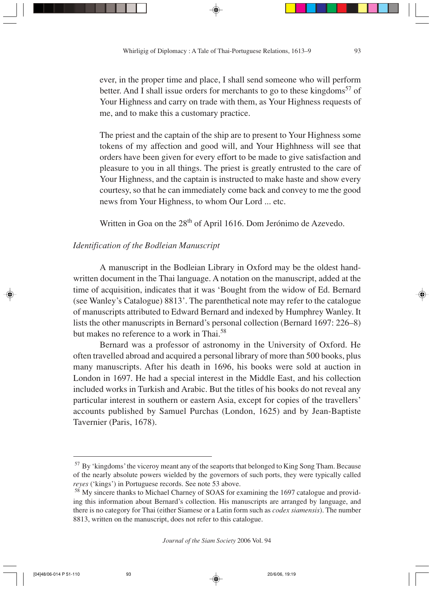ever, in the proper time and place, I shall send someone who will perform better. And I shall issue orders for merchants to go to these kingdoms<sup>57</sup> of Your Highness and carry on trade with them, as Your Highness requests of me, and to make this a customary practice.

The priest and the captain of the ship are to present to Your Highness some tokens of my affection and good will, and Your Highhness will see that orders have been given for every effort to be made to give satisfaction and pleasure to you in all things. The priest is greatly entrusted to the care of Your Highness, and the captain is instructed to make haste and show every courtesy, so that he can immediately come back and convey to me the good news from Your Highness, to whom Our Lord ... etc.

Written in Goa on the 28<sup>th</sup> of April 1616. Dom Jerónimo de Azevedo.

# *Identification of the Bodleian Manuscript*

A manuscript in the Bodleian Library in Oxford may be the oldest handwritten document in the Thai language. A notation on the manuscript, added at the time of acquisition, indicates that it was 'Bought from the widow of Ed. Bernard (see Wanley's Catalogue) 8813'. The parenthetical note may refer to the catalogue of manuscripts attributed to Edward Bernard and indexed by Humphrey Wanley. It lists the other manuscripts in Bernard's personal collection (Bernard 1697: 226–8) but makes no reference to a work in Thai.<sup>58</sup>

Bernard was a professor of astronomy in the University of Oxford. He often travelled abroad and acquired a personal library of more than 500 books, plus many manuscripts. After his death in 1696, his books were sold at auction in London in 1697. He had a special interest in the Middle East, and his collection included works in Turkish and Arabic. But the titles of his books do not reveal any particular interest in southern or eastern Asia, except for copies of the travellers' accounts published by Samuel Purchas (London, 1625) and by Jean-Baptiste Tavernier (Paris, 1678).

 $<sup>57</sup>$  By 'kingdoms' the viceroy meant any of the seaports that belonged to King Song Tham. Because</sup> of the nearly absolute powers wielded by the governors of such ports, they were typically called *reyes* ('kings') in Portuguese records. See note 53 above.

<sup>&</sup>lt;sup>58</sup> My sincere thanks to Michael Charney of SOAS for examining the 1697 catalogue and providing this information about Bernard's collection. His manuscripts are arranged by language, and there is no category for Thai (either Siamese or a Latin form such as *codex siamensis*). The number 8813, written on the manuscript, does not refer to this catalogue.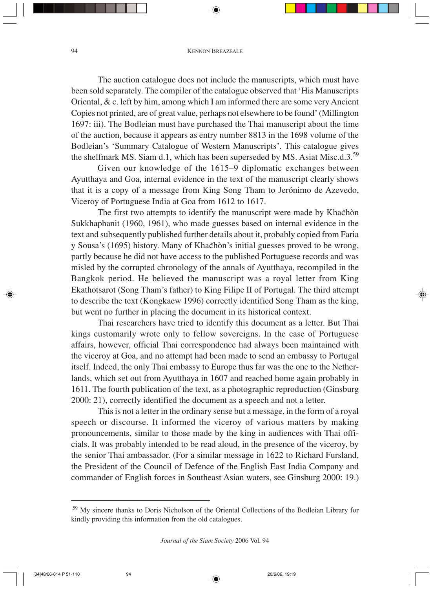The auction catalogue does not include the manuscripts, which must have been sold separately. The compiler of the catalogue observed that 'His Manuscripts Oriental, & c. left by him, among which I am informed there are some very Ancient Copies not printed, are of great value, perhaps not elsewhere to be found' (Millington 1697: iii). The Bodleian must have purchased the Thai manuscript about the time of the auction, because it appears as entry number 8813 in the 1698 volume of the Bodleian's 'Summary Catalogue of Western Manuscripts'. This catalogue gives the shelfmark MS. Siam d.1, which has been superseded by MS. Asiat Misc.d.3.<sup>59</sup>

Given our knowledge of the 1615–9 diplomatic exchanges between Ayutthaya and Goa, internal evidence in the text of the manuscript clearly shows that it is a copy of a message from King Song Tham to Jerónimo de Azevedo, Viceroy of Portuguese India at Goa from 1612 to 1617.

The first two attempts to identify the manuscript were made by Khačhòn Sukkhaphanit (1960, 1961), who made guesses based on internal evidence in the text and subsequently published further details about it, probably copied from Faria y Sousa's (1695) history. Many of Khac˘hòn's initial guesses proved to be wrong, partly because he did not have access to the published Portuguese records and was misled by the corrupted chronology of the annals of Ayutthaya, recompiled in the Bangkok period. He believed the manuscript was a royal letter from King Ekathotsarot (Song Tham's father) to King Filipe II of Portugal. The third attempt to describe the text (Kongkaew 1996) correctly identified Song Tham as the king, but went no further in placing the document in its historical context.

Thai researchers have tried to identify this document as a letter. But Thai kings customarily wrote only to fellow sovereigns. In the case of Portuguese affairs, however, official Thai correspondence had always been maintained with the viceroy at Goa, and no attempt had been made to send an embassy to Portugal itself. Indeed, the only Thai embassy to Europe thus far was the one to the Netherlands, which set out from Ayutthaya in 1607 and reached home again probably in 1611. The fourth publication of the text, as a photographic reproduction (Ginsburg 2000: 21), correctly identified the document as a speech and not a letter.

This is not a letter in the ordinary sense but a message, in the form of a royal speech or discourse. It informed the viceroy of various matters by making pronouncements, similar to those made by the king in audiences with Thai officials. It was probably intended to be read aloud, in the presence of the viceroy, by the senior Thai ambassador. (For a similar message in 1622 to Richard Fursland, the President of the Council of Defence of the English East India Company and commander of English forces in Southeast Asian waters, see Ginsburg 2000: 19.)

<sup>&</sup>lt;sup>59</sup> My sincere thanks to Doris Nicholson of the Oriental Collections of the Bodleian Library for kindly providing this information from the old catalogues.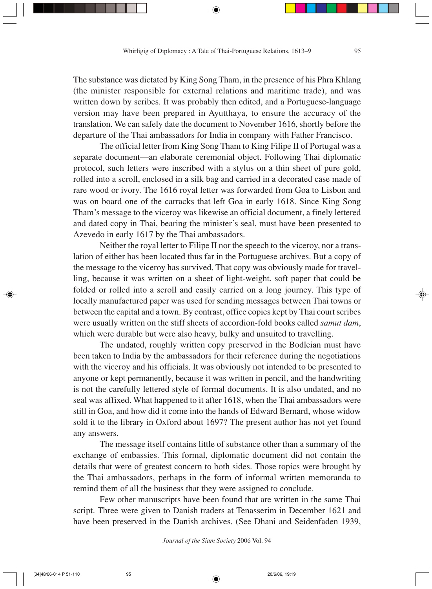The substance was dictated by King Song Tham, in the presence of his Phra Khlang (the minister responsible for external relations and maritime trade), and was written down by scribes. It was probably then edited, and a Portuguese-language version may have been prepared in Ayutthaya, to ensure the accuracy of the translation. We can safely date the document to November 1616, shortly before the departure of the Thai ambassadors for India in company with Father Francisco.

The official letter from King Song Tham to King Filipe II of Portugal was a separate document—an elaborate ceremonial object. Following Thai diplomatic protocol, such letters were inscribed with a stylus on a thin sheet of pure gold, rolled into a scroll, enclosed in a silk bag and carried in a decorated case made of rare wood or ivory. The 1616 royal letter was forwarded from Goa to Lisbon and was on board one of the carracks that left Goa in early 1618. Since King Song Tham's message to the viceroy was likewise an official document, a finely lettered and dated copy in Thai, bearing the minister's seal, must have been presented to Azevedo in early 1617 by the Thai ambassadors.

Neither the royal letter to Filipe II nor the speech to the viceroy, nor a translation of either has been located thus far in the Portuguese archives. But a copy of the message to the viceroy has survived. That copy was obviously made for travelling, because it was written on a sheet of light-weight, soft paper that could be folded or rolled into a scroll and easily carried on a long journey. This type of locally manufactured paper was used for sending messages between Thai towns or between the capital and a town. By contrast, office copies kept by Thai court scribes were usually written on the stiff sheets of accordion-fold books called *samut dam*, which were durable but were also heavy, bulky and unsuited to travelling.

The undated, roughly written copy preserved in the Bodleian must have been taken to India by the ambassadors for their reference during the negotiations with the viceroy and his officials. It was obviously not intended to be presented to anyone or kept permanently, because it was written in pencil, and the handwriting is not the carefully lettered style of formal documents. It is also undated, and no seal was affixed. What happened to it after 1618, when the Thai ambassadors were still in Goa, and how did it come into the hands of Edward Bernard, whose widow sold it to the library in Oxford about 1697? The present author has not yet found any answers.

The message itself contains little of substance other than a summary of the exchange of embassies. This formal, diplomatic document did not contain the details that were of greatest concern to both sides. Those topics were brought by the Thai ambassadors, perhaps in the form of informal written memoranda to remind them of all the business that they were assigned to conclude.

Few other manuscripts have been found that are written in the same Thai script. Three were given to Danish traders at Tenasserim in December 1621 and have been preserved in the Danish archives. (See Dhani and Seidenfaden 1939,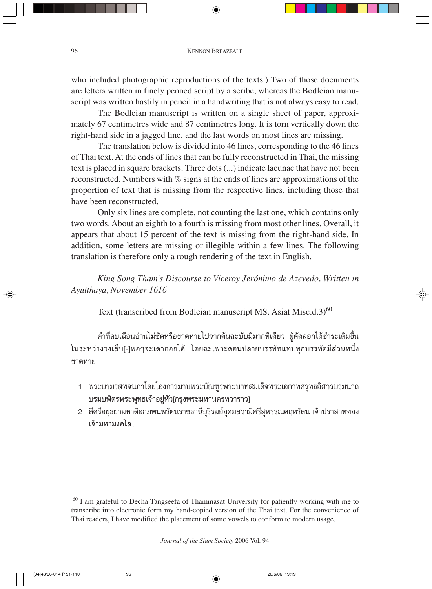who included photographic reproductions of the texts.) Two of those documents are letters written in finely penned script by a scribe, whereas the Bodleian manuscript was written hastily in pencil in a handwriting that is not always easy to read.

The Bodleian manuscript is written on a single sheet of paper, approximately 67 centimetres wide and 87 centimetres long. It is torn vertically down the right-hand side in a jagged line, and the last words on most lines are missing.

The translation below is divided into 46 lines, corresponding to the 46 lines of Thai text. At the ends of lines that can be fully reconstructed in Thai, the missing text is placed in square brackets. Three dots (...) indicate lacunae that have not been reconstructed. Numbers with % signs at the ends of lines are approximations of the proportion of text that is missing from the respective lines, including those that have been reconstructed.

Only six lines are complete, not counting the last one, which contains only two words. About an eighth to a fourth is missing from most other lines. Overall, it appears that about 15 percent of the text is missing from the right-hand side. In addition, some letters are missing or illegible within a few lines. The following translation is therefore only a rough rendering of the text in English.

*King Song Tham's Discourse to Viceroy Jerónimo de Azevedo, Written in Ayutthaya, November 1616*

Text (transcribed from Bodleian manuscript MS. Asiat Misc.d.3) $60$ 

ู้ คำที่ลบเลือนอ่านไม่ชัดหรือขาดหายไปจากต้นฉะบับมีมากทีเดียว ผู้คัดลอกได้ชำระเติมขึ้น ในระหว่างวงเล็บ[-]พอๆจะเดาออกได้ โดยฉะเพาะตอนปลายบรรทัทแทบทุกบรรทัดมีส่วนหนึ่ง ขาดหาย

- 1 พระบรมรสพจนภาโดยโองการมานพระบัณฑูรพระบาทสมเด็จพระเอกาทศรุทธอิศวรบรมนาถ บรมบพิตรพระพุทธเจ้าอยู่หัว[กรุงพระมหานครทวาราว]
- 2 ดีศรีอยุธยามหาดิลกภพนพรัตนราชธานีบุรีรมย์อุดมสวามีศรีสุพรรณคฤหรัตน เจ้าปราสาททอง เจ้ามหามงคโล…

<sup>&</sup>lt;sup>60</sup> I am grateful to Decha Tangseefa of Thammasat University for patiently working with me to transcribe into electronic form my hand-copied version of the Thai text. For the convenience of Thai readers, I have modified the placement of some vowels to conform to modern usage.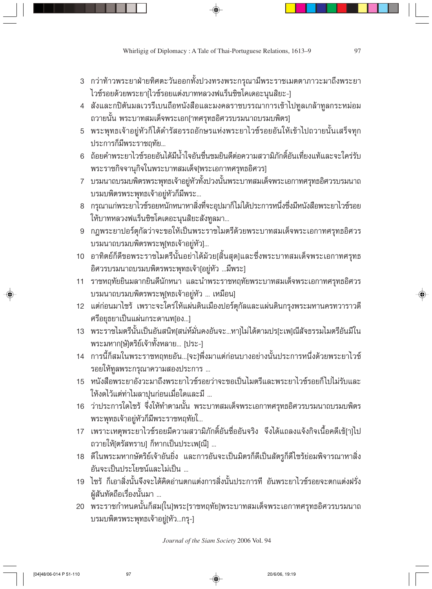Whirligig of Diplomacy : A Tale of Thai-Portuguese Relations, 1613–9 97

- 3 กว่าท้าวพระยาฝ่ายทิศตะวันออกทั้งปวงทรงพระกรุณามีพระราชเมตตาภาวะมาถึงพระยา ไวซ์รอยด้วยพระยา[ไวซ์รอยแต่งบาทหลวงฟแร็นซิซโคเดอะนุนสิยะ-]
- 4 สังและกปิตันมลเวรรีเบนถือหนังสือและมงคลราชบรรณาการเข้าไปทูลเกล้าทูลกระหม่อม ถวายนั้น พระบาทสมเด็จพระเอก[าทศรุทธอิศวรบรมนาถบรมบพิตร]
- 5 พระพุทธเจ้าอยู่หัวก็ได้ดำรัสอรรถอักษรแห่งพระยาไวซ์รอยอันให้เข้าไปถวายนั้นเสร็จทุก ประการก็มีพระราชฤทัย...
- ์ 6 ถ้อยคำพระยาไวซ์รอยอันได้มีน้ำใจอันชื่นชมยินดีต่อความสวามิภักดิ์อันเที่ยงแท้และจะใคร่รับ พระราชกิจจานฺกิจในพระบาทสมเด็จ[พระเอกาทศรุทธอิศวร]
- 7 ⊥บรมนาถบรมบพิตรพระพุทธเจ้าอยู่หัวทั้งปวงนั้นพระบาทสมเด็จพระเอกาทศรุทธอิศวรบรมนาถ บรมบพิตรพระพุทธเจ้าอยู่หัวก็มีพระ...
- 8 กรุณาแก่พระยาไวซ์รอยหนักหนาหาสิ่งที่จะอุปมาก็ไม่ได้ประการหนึ่งซึ่งมีหนังสือพระยาไวซ์รอย ให้บาทหลวงฟแร็นซิซโคเดอะนุนสิยะสังทูลมา...
- 9 กฎพระยาปอร์ตุกัลว่าจะขอให้เป็นพระราชไมตรีด้วยพระบาทสมเด็จพระเอกาทศรุทธอิศวร บรมนาถบรมบพิตรพระพุ[ทธเจ้าอยู่หัว]...
- 10 อาทิตย์ก็ดีขอพระราชไมตรีนั้นอย่าได้ม้วย[สิ้นสุด]และซึ่งพระบาทสมเด็จพระเอกาทศรุทธ อิศวรบรมนาถบรมบพิตรพระพุทธเจ้า[อยู่หัว ...มีพระ]
- 11 ราชหฤทัยยินมลากยินดีนักหนา และนำพระราชหฤทัยพระบาทสมเด็จพระเอกาทศรุทธอิศวร ึบรมนาถบรมบพิตรพระพุ[ทธเจ้าอยู่หัว ... เหมือน]
- 12 แต่ก่อนมาไซร้ เพราะจะใคร่ให้แผ่นดินเมืองปอร์ตุกัลและแผ่นดินกรุงพระมหานครทวาราวดี ศรีอยุธยาเป็นแผ่นกระดานท[อง...]
- 13 พระราชไมตรีนั้นเป็นอันสนิท[สน่ห์มั่นคงอันจะ...หา]ไม่ได้ตามปร[ะเพ]ณีสัจธรรมไมตรีอันมีใน พระมหาก[ษั]ตริย์เจ้าทั้งหลาย... [ประ-]
- 14 การนี้ก็สมในพระราชหฤทยอัน...[จะ]พึ่งมาแต่ก่อนบางอย่างนั้นประการหนึ่งด้วยพระยาไวช์ รอยให้ทูลพระกรุณาความสองประการ ...
- 15 หนังสือพระยาอังวะมาถึงพระยาไวซ์รอยว่าจะขอเป็นไมตรีและพระยาไวซ์รอยก็ไปไม่รับและ ให้งดไว้แต่ท่าไมลาปุ่นก่อนเมื่อใดและมี ...
- 16 ว่าประการใดไซร้ จึ่งให้ทำตามนั้น พระบาทสมเด็จพระเอกาทศรุทธอิศวรบรมนาถบรมบพิตร พระพุทธเจ้าอยู่หัวก็มีพระราชหฤทัยใ...
- 17 เพราะเหตุพระยาไวซ์รอยมีความสวามิภักดิ์อันชื่ออันจริง จึงได้แถลงแจ้งกิจเนื้อคดีเข้[า]ไป ิ ถวายให้[ตรัสทราบ] ก็หากเป็นประเพ[ณี] ...
- <u>18 ดีในพระมหากษัตริย์เจ้าอันยิ่ง และการอันจะเป็นมิตรก็ดีเป็นสัตรูก็ดีไซรัย่อมพิจารณาหาสิ่ง</u> ้อันจะเป็นประโยชน์และไม่เป็น ...
- 19 ไซร้ ก็เอาสิ่งนั้นจึงจะได้คิดอ่านตกแต่งการสิ่งนั้นประการที่ อันพระยาไวซ์รอยจะตกแต่งฝรั่ง ์ ผู้สันทัดถือเรื่องนั้นมา *..*.
- 20 พระราชกำหนดนั้นก็สม[ใน]พระ[ราชหฤทัย]พระบาทสมเด็จพระเอกาทศรุทธอิศวรบรมนาถ บรมบพิตรพระพุทธเจ้าอยู่[หัว…กรุ-]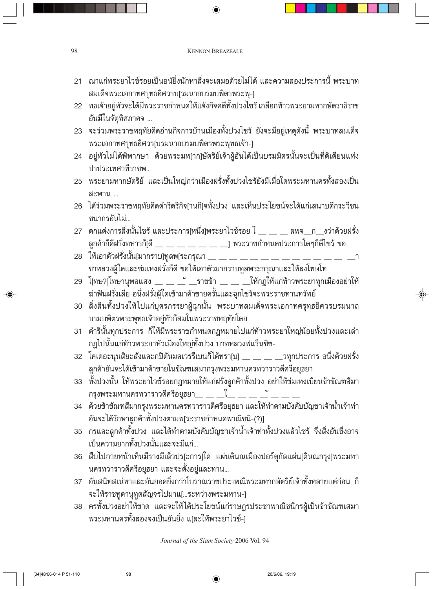- 21 ณาแก่พระยาไวซ์รอยเป็นอนัยิ่งนักหาสิ่งจะเสมอด้วยไม่ได้ และความสองประการนี้ พระบาท สมเด็จพระเอกาทศรุทธอิศวรบ[รมนาถบรมบพิตรพระพฺ-]
- 22 ทธเจ้าอยู่หัวจะได้มีพระราชกำหนดให้แจ้งกิจคดีทั้งปวงไซรั เกลือกท้าวพระยามหากษัตราธิราช ้อันมีในจัตุทิศภาคจ …
- 23 จะร่วมพระราชหฤทัยคิดอ่านกิจการบ้านเมืองทั้งปวงไซร้ ยังจะมีอยู่เหตุดังนี้ พระบาทสมเด็จ พระเอกาทศรุทธอิศวร[บรมนาถบรมบพิตรพระพุทธเจ้า-]
- 24 อยู่หัวไม่ได้พิพากษา ด้วยพระมห[าก]ษัตริย์เจ้าผู้อันได้เป็นบรมมิตรนั้นจะเป็นที่ติเตียนแห่ง ปรประเทศาที่ราชพ…
- 25 พระยามหากษัตริย์ และเป็นใหญ่กว่าเมืองฝรั่งทั้งปวงไซร้ยังมีเมื่อใดพระมหานครทั้งสองเป็น สะพาน ...
- $\,$  26  $\,$  ได้ร่วมพระราชหฤทัยคิดดำริตริกิจ[านกิ]จทั้งปวง และเห็นประโยชน์จะได้แก่เสนาบดีกระวีชน ืชนากรอันไม่...
- $\,$ 27  $\,$  ตกแต่งการสิ่งนั้นไซร้ และประการ[หนึ่ง]พระยาไวซ์รอย โ $\, \underline{\quad} \, \underline{\quad} \, \, \underline{\quad} \,$  ลพจ $\, \underline{\quad} \,$ ก $\, \_\,$ งว่าด้วยฝรั่ง ≈Ÿ°§â"°Á¥'Ω√—Ëß∑À"√°Á[¥' \_ \_ \_ \_ \_ \_ \_] æ√–√"™°"Àπ¥ª√–°"√"¥Ê°Á¥'‰´√â ¢Õ
- 28 "Àâ‡Õ"µ—«Ω√—Ëßπ—Èπ[¡"°√"∫]∑Ÿ≈æ[√–°√ÿ≥" \_ \_ \_ \_ \_ \_ \_ \_ \_ \_ \_ \_ \_ \_" ขาหลวงผู้ใดและข่มเหงฝรั่งก็ดี ขอให้เอาตัวมากราบทูลพระกรุณาและให้ลงโทษโท
- 29 '[∑…?]'∑…"πÿæ≈· ß \_ \_ \_— \_√"™¢â" \_ \_ \_"Àâ°Æ"Àâ·°à∑â"«æ√–¬"∑ÿ°‡¡◊ÕßÕ¬à""Àâ ฆ่าฟันฝรั่งเสีย อนึ่งฝรั่งผู้ใดเข้ามาค้าขายครั้นและฉุกไซร้จะพระราชทานทรัพย์
- 30 สิ่งสินทั้งปวงให้ไปแก่บุตรภรรยาผู้ฉุกนั้น พระบาทสมเด็จพระเอกาทศรุทธอิศวรบรมนาถ บรมบพิตรพระพุทธเจ้าอยู่หัวก็สมในพระราชหฤทัยโดย
- 31 ดำรินั้นทุกประการ ก็ให้มีพระราชกำหนดกฎหมายไปแก่ท้าวพระยาใหญ่น้อยทั้งปวงและเล่า ึกฏไปนั้นแก่ท้าวพระยาหัวเมืองใหญ่ทั้งปวง บาทหลวงฟแร็นซิซ−
- 32 โคเดอะนุนสิยะสังและกปิตันมลเวรรีเบนก็ได้ทรา[บ]  $\;\_\;\_\;\_\;\_$ วทุกประการ อนึ่งด้วยฝรั่ง ลูกค้าอันจะได้เข้ามาค้าขายในขัณฑเสมากรุงพระมหานครทวาราวดีศรีอยุธยา
- 33 ทั้งปวงนั้น ให้พระยาไวซ์รอยกฎหมายให้แก่ฝรั่งลูกค้าทั้งปวง อย่าให้ข่มเหงเบียนข้าขัณฑสีมา  $\tau$ กรุงพระมหานครทวาราวดีศรีอยุธยา $\_\_$   $\_\_$   $\_\_$
- 34 ด้วยข้าขัณฑสีมากรุงพระมหานครทวาราวดีศรีอยุธยา และให้ทำตามบังคับบัญชาเจ้าน้ำเจ้าท่า อันจะได้รักษาลูกค้าทั้งปวงตามพ[ระราชกำหนดพาณิชนิ-(?)]
- ึ่35 กรและลูกค้าทั้งปวง และได้ทำตามบังคับบัญชาเจ้าน้ำเจ้าท่าทั้งปวงแล้วไซร้ จึ่งสิ่งอันซึ่งอาจ เป็นความยากทั้งปวงนั้นและจะมีแก่...
- 36 สืบไปภายหน้าเห็นมีรางมีเล็วปร[ะการ]ใด แผ่นดินณเมืองปอร์ตุกัลแผ่น[ดินณกรุง]พระมหา นครทวาราวดีศรีอยุธยา และจะตั้งอยู่และทาน...
- 37 อันสนิทสเน่หาและอันยอดยิ่งกว่าโบราณราชประเพณีพระมหากษัตริย์เจ้าทั้งหลายแต่ก่อน ก็ จะให้ราชทูตานุทูตสัญจรไปมาแ[...ระหว่างพระมหาน-]
- 38 ครทั้งปวงอย่าให้ขาด และจะให้ได้ประโยชน์แก่ราษฎรประชาพาณิชนิกรผู้เป็นข้าขัณฑเสมา พระมหานครทั้งสองจงเป็นอันยิ่ง แ[ละให้พระยาไวซ์-]

*Journal of the Siam Society* 2006 Vol. 94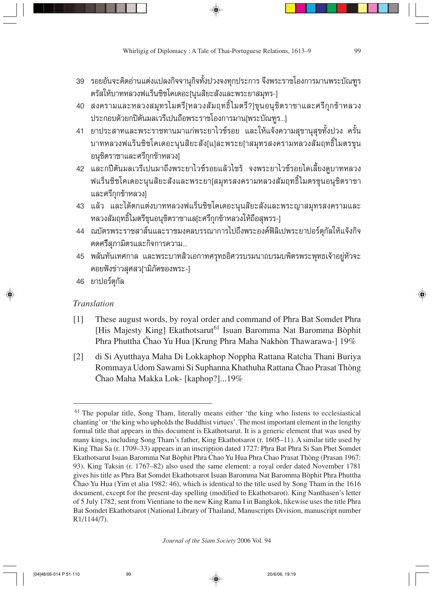Whirligig of Diplomacy : A Tale of Thai-Portuguese Relations, 1613–9 99

- 39 รอยอันจะคิดอ่านแต่งแปลงกิจจานุกิจทั้งปวงจงทุกประการ จึงพระราชโองการมานพระบัณฑูร ตรัสให้บาทหลวงฟแร็นซิซโคเดอะ[นุนสิยะสังและพระยาสมุทร-]
- 40 สงครามและหลวงสมุทรไมตรี[หลวงสัมฤทธิ์ไมตรี?]ขุนอนุชิตราชาและศรีกุกข้าหลวง ประกอบด้วยกปิตันมลเวรีเปนถือพระราชโองการมาน[พระบัณฑูร...]
- 41 ยาประสาทและพระราชทานมาแก่พระยาไวซ์รอย และให้แจ้งความสุขานุสุขทั้งปวง ครั้น บาทหลวงฟแร็นซิซโคเดอะนุนสิยะสัง[แ]ละพระย[าสมุทรสงครามหลวงสัมฤทธิ์ไมตรขุน ้อนุชิตราชาและศรีกุกข้าหลวง]
- 42 และกปีตันมลเวรีเปนมาถึงพระยาไวซ์รอยแล้วไซรั จงพระยาไวซ์รอยไดเลี้ยง<u>ดู</u>บาทหลวง ฟแร็นซิซโคเดอะนุนสิยะสังและพระยา[สมุทรสงครามหลวงสัมฤทธิ์ไมตรขุนอนุชิตราชา ·และศรีกุกข้าหลวง]
- 43 แล้ว และได้ตกแต่งบาทหลวงฟแร็นซิซโคเดอะนุนสิยะสังและพระญาสมุทรสงครามและ หลวงสัมฤทธิ์ไมตรีขุนอนุชิตราชาแล[ะศรีกุกข้าหลวงให้ถือสุพรร-]
- ึ44 ณบัตรพระราชสาส์นและราชมงคลบรรณาการไปถึงพระองค์ฟิลิเปพระยาปอร์ตุกัลให้แจ้งกิจ คดศรีสุภามิตรและกิจการความ...
- 45 พลันทันเทศกาล และพระบาทสิวเอกาทศรุทธอิศวรบรมนาถบรมบพิตรพระพุทธเจ้าอยู่หัวจะ คอยฟังข่าวสุศสว[ามิภัคของพระ-]
- 46 ยาปอร์ตุกัล

# *Translation*

- [1] These august words, by royal order and command of Phra Bat Somdet Phra [His Majesty King] Ekathotsarut<sup>61</sup> Isuan Baromma Nat Baromma Bòphit Phra Phuttha Čhao Yu Hua [Krung Phra Maha Nakhòn Thawarawa-] 19%
- [2] di Si Ayutthaya Maha Di Lokkaphop Noppha Rattana Ratcha Thani Buriya Rommaya Udom Sawami Si Suphanna Khathuha Rattana Chao Prasat Thòng C˘hao Maha Makka Lok- [kaphop?]...19%

<sup>&</sup>lt;sup>61</sup> The popular title, Song Tham, literally means either 'the king who listens to ecclesiastical chanting' or 'the king who upholds the Buddhist virtues'. The most important element in the lengthy formal title that appears in this document is Ekathotsarut. It is a generic element that was used by many kings, including Song Tham's father, King Ekathotsarot (r. 1605–11). A similar title used by King Thai Sa (r. 1709–33) appears in an inscription dated 1727: Phra Bat Phra Si San Phet Somdet Ekathotsarut Isuan Baromma Nat Bòphit Phra Chao Yu Hua Phra Chao Prasat Thòng (Prasan 1967: 93). King Taksin (r. 1767–82) also used the same element: a royal order dated November 1781 gives his title as Phra Bat Somdet Ekathotsarot Isuan Baromma Nat Baromma Bòphit Phra Phuttha Chao Yu Hua (Yim et alia 1982: 46), which is identical to the title used by Song Tham in the 1616 ˇ document, except for the present-day spelling (modified to Ekathotsarot). King Nanthasen's letter of 5 July 1782, sent from Vientiane to the new King Rama I in Bangkok, likewise uses the title Phra Bat Somdet Ekathotsarot (National Library of Thailand, Manuscripts Division, manuscript number R1/1144/7).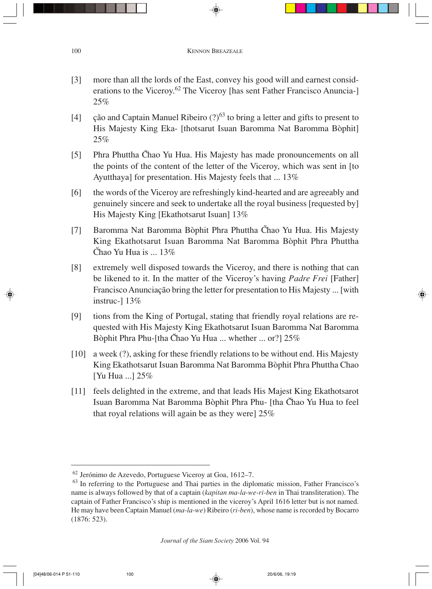- [3] more than all the lords of the East, convey his good will and earnest considerations to the Viceroy.62 The Viceroy [has sent Father Francisco Anuncia-] 25%
- [4]  $\tilde{\text{ca}}$  cão and Captain Manuel Ribeiro (?)<sup>63</sup> to bring a letter and gifts to present to His Majesty King Eka- [thotsarut Isuan Baromma Nat Baromma Bòphit] 25%
- [5] Phra Phuttha Čhao Yu Hua. His Majesty has made pronouncements on all the points of the content of the letter of the Viceroy, which was sent in [to Ayutthaya] for presentation. His Majesty feels that ... 13%
- [6] the words of the Viceroy are refreshingly kind-hearted and are agreeably and genuinely sincere and seek to undertake all the royal business [requested by] His Majesty King [Ekathotsarut Isuan] 13%
- [7] Baromma Nat Baromma Bòphit Phra Phuttha Chao Yu Hua. His Majesty King Ekathotsarut Isuan Baromma Nat Baromma Bòphit Phra Phuttha  $\check{\mathrm{Ch}}$ ao Yu Hua is ... 13%
- [8] extremely well disposed towards the Viceroy, and there is nothing that can be likened to it. In the matter of the Viceroy's having *Padre Frei* [Father] Francisco Anunciação bring the letter for presentation to His Majesty ... [with instruc-] 13%
- [9] tions from the King of Portugal, stating that friendly royal relations are requested with His Majesty King Ekathotsarut Isuan Baromma Nat Baromma Bòphit Phra Phu-[tha Čhao Yu Hua ... whether ... or?] 25%
- [10] a week (?), asking for these friendly relations to be without end. His Majesty King Ekathotsarut Isuan Baromma Nat Baromma Bòphit Phra Phuttha Chao [Yu Hua ...] 25%
- [11] feels delighted in the extreme, and that leads His Majest King Ekathotsarot Isuan Baromma Nat Baromma Bòphit Phra Phu- [tha C˘hao Yu Hua to feel that royal relations will again be as they were] 25%

<sup>62</sup> Jerónimo de Azevedo, Portuguese Viceroy at Goa, 1612–7.

<sup>&</sup>lt;sup>63</sup> In referring to the Portuguese and Thai parties in the diplomatic mission, Father Francisco's name is always followed by that of a captain (*kapitan ma-la-we-ri-ben* in Thai transliteration). The captain of Father Francisco's ship is mentioned in the viceroy's April 1616 letter but is not named. He may have been Captain Manuel (*ma-la-we*) Ribeiro (*ri-ben*), whose name is recorded by Bocarro (1876: 523).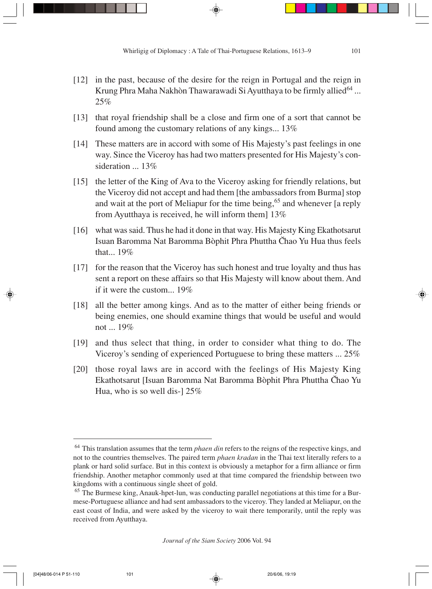Whirligig of Diplomacy : A Tale of Thai-Portuguese Relations, 1613–9 101

- [12] in the past, because of the desire for the reign in Portugal and the reign in Krung Phra Maha Nakhòn Thawarawadi Si Ayutthaya to be firmly allied<sup>64</sup> ... 25%
- [13] that royal friendship shall be a close and firm one of a sort that cannot be found among the customary relations of any kings... 13%
- [14] These matters are in accord with some of His Majesty's past feelings in one way. Since the Viceroy has had two matters presented for His Majesty's consideration ... 13%
- [15] the letter of the King of Ava to the Viceroy asking for friendly relations, but the Viceroy did not accept and had them [the ambassadors from Burma] stop and wait at the port of Meliapur for the time being,  $65$  and whenever [a reply from Ayutthaya is received, he will inform them] 13%
- [16] what was said. Thus he had it done in that way. His Majesty King Ekathotsarut Isuan Baromma Nat Baromma Bòphit Phra Phuttha C˘hao Yu Hua thus feels that... 19%
- [17] for the reason that the Viceroy has such honest and true loyalty and thus has sent a report on these affairs so that His Majesty will know about them. And if it were the custom... 19%
- [18] all the better among kings. And as to the matter of either being friends or being enemies, one should examine things that would be useful and would not ... 19%
- [19] and thus select that thing, in order to consider what thing to do. The Viceroy's sending of experienced Portuguese to bring these matters ... 25%
- [20] those royal laws are in accord with the feelings of His Majesty King Ekathotsarut [Isuan Baromma Nat Baromma Bòphit Phra Phuttha Čhao Yu Hua, who is so well dis-] 25%

<sup>64</sup> This translation assumes that the term *phaen din* refers to the reigns of the respective kings, and not to the countries themselves. The paired term *phaen kradan* in the Thai text literally refers to a plank or hard solid surface. But in this context is obviously a metaphor for a firm alliance or firm friendship. Another metaphor commonly used at that time compared the friendship between two kingdoms with a continuous single sheet of gold.

<sup>&</sup>lt;sup>65</sup> The Burmese king, Anauk-hpet-lun, was conducting parallel negotiations at this time for a Burmese-Portuguese alliance and had sent ambassadors to the viceroy. They landed at Meliapur, on the east coast of India, and were asked by the viceroy to wait there temporarily, until the reply was received from Ayutthaya.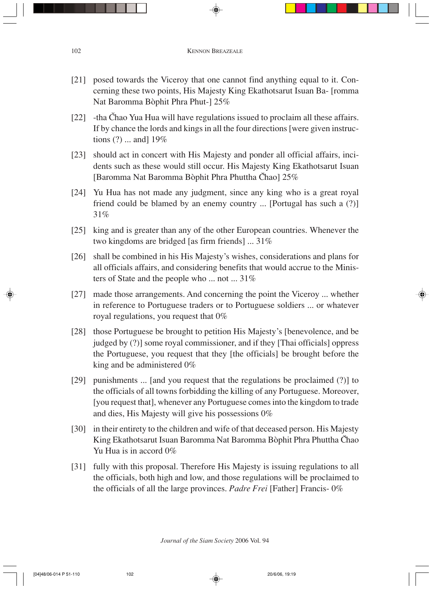- [21] posed towards the Viceroy that one cannot find anything equal to it. Concerning these two points, His Majesty King Ekathotsarut Isuan Ba- [romma Nat Baromma Bòphit Phra Phut-] 25%
- [22] -tha Chao Yua Hua will have regulations issued to proclaim all these affairs. If by chance the lords and kings in all the four directions [were given instructions (?) ... and] 19%
- [23] should act in concert with His Majesty and ponder all official affairs, incidents such as these would still occur. His Majesty King Ekathotsarut Isuan [Baromma Nat Baromma Bòphit Phra Phuttha Chao] 25%
- [24] Yu Hua has not made any judgment, since any king who is a great royal friend could be blamed by an enemy country ... [Portugal has such a (?)] 31%
- [25] king and is greater than any of the other European countries. Whenever the two kingdoms are bridged [as firm friends] ... 31%
- [26] shall be combined in his His Majesty's wishes, considerations and plans for all officials affairs, and considering benefits that would accrue to the Ministers of State and the people who ... not ... 31%
- [27] made those arrangements. And concerning the point the Viceroy ... whether in reference to Portuguese traders or to Portuguese soldiers ... or whatever royal regulations, you request that 0%
- [28] those Portuguese be brought to petition His Majesty's [benevolence, and be judged by (?)] some royal commissioner, and if they [Thai officials] oppress the Portuguese, you request that they [the officials] be brought before the king and be administered 0%
- [29] punishments ... [and you request that the regulations be proclaimed (?)] to the officials of all towns forbidding the killing of any Portuguese. Moreover, [you request that], whenever any Portuguese comes into the kingdom to trade and dies, His Majesty will give his possessions 0%
- [30] in their entirety to the children and wife of that deceased person. His Majesty King Ekathotsarut Isuan Baromma Nat Baromma Bòphit Phra Phuttha Chao Yu Hua is in accord 0%
- [31] fully with this proposal. Therefore His Majesty is issuing regulations to all the officials, both high and low, and those regulations will be proclaimed to the officials of all the large provinces. *Padre Frei* [Father] Francis- 0%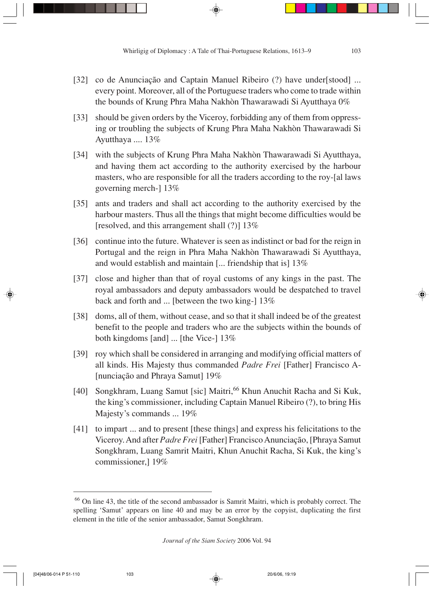Whirligig of Diplomacy : A Tale of Thai-Portuguese Relations, 1613–9 103

- [32] co de Anunciação and Captain Manuel Ribeiro (?) have under[stood] ... every point. Moreover, all of the Portuguese traders who come to trade within the bounds of Krung Phra Maha Nakhòn Thawarawadi Si Ayutthaya 0%
- [33] should be given orders by the Viceroy, forbidding any of them from oppressing or troubling the subjects of Krung Phra Maha Nakhòn Thawarawadi Si Ayutthaya .... 13%
- [34] with the subjects of Krung Phra Maha Nakhòn Thawarawadi Si Ayutthaya, and having them act according to the authority exercised by the harbour masters, who are responsible for all the traders according to the roy-[al laws governing merch-] 13%
- [35] ants and traders and shall act according to the authority exercised by the harbour masters. Thus all the things that might become difficulties would be [resolved, and this arrangement shall (?)] 13%
- [36] continue into the future. Whatever is seen as indistinct or bad for the reign in Portugal and the reign in Phra Maha Nakhòn Thawarawadi Si Ayutthaya, and would establish and maintain [... friendship that is] 13%
- [37] close and higher than that of royal customs of any kings in the past. The royal ambassadors and deputy ambassadors would be despatched to travel back and forth and ... [between the two king-] 13%
- [38] doms, all of them, without cease, and so that it shall indeed be of the greatest benefit to the people and traders who are the subjects within the bounds of both kingdoms [and] ... [the Vice-] 13%
- [39] roy which shall be considered in arranging and modifying official matters of all kinds. His Majesty thus commanded *Padre Frei* [Father] Francisco A- [nunciação and Phraya Samut] 19%
- [40] Songkhram, Luang Samut [sic] Maitri,<sup>66</sup> Khun Anuchit Racha and Si Kuk, the king's commissioner, including Captain Manuel Ribeiro (?), to bring His Majesty's commands ... 19%
- [41] to impart ... and to present [these things] and express his felicitations to the Viceroy. And after *Padre Frei* [Father] Francisco Anunciação, [Phraya Samut Songkhram, Luang Samrit Maitri, Khun Anuchit Racha, Si Kuk, the king's commissioner,] 19%

<sup>66</sup> On line 43, the title of the second ambassador is Samrit Maitri, which is probably correct. The spelling 'Samut' appears on line 40 and may be an error by the copyist, duplicating the first element in the title of the senior ambassador, Samut Songkhram.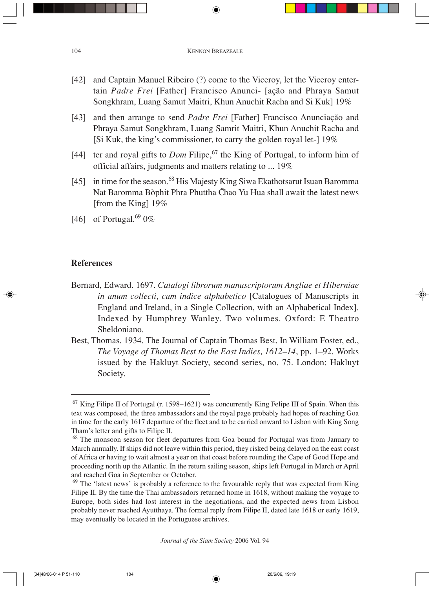- [42] and Captain Manuel Ribeiro (?) come to the Viceroy, let the Viceroy entertain *Padre Frei* [Father] Francisco Anunci- [ação and Phraya Samut Songkhram, Luang Samut Maitri, Khun Anuchit Racha and Si Kuk] 19%
- [43] and then arrange to send *Padre Frei* [Father] Francisco Anunciação and Phraya Samut Songkhram, Luang Samrit Maitri, Khun Anuchit Racha and [Si Kuk, the king's commissioner, to carry the golden royal let-] 19%
- [44] ter and royal gifts to *Dom* Filipe,<sup>67</sup> the King of Portugal, to inform him of official affairs, judgments and matters relating to ... 19%
- [45] in time for the season.<sup>68</sup> His Majesty King Siwa Ekathotsarut Isuan Baromma Nat Baromma Bòphit Phra Phuttha C˘hao Yu Hua shall await the latest news [from the King] 19%
- [46] of Portugal.<sup>69</sup>  $0\%$

### **References**

- Bernard, Edward. 1697. *Catalogi librorum manuscriptorum Angliae et Hiberniae in unum collecti, cum indice alphabetico* [Catalogues of Manuscripts in England and Ireland, in a Single Collection, with an Alphabetical Index]. Indexed by Humphrey Wanley. Two volumes. Oxford: E Theatro Sheldoniano.
- Best, Thomas. 1934. The Journal of Captain Thomas Best. In William Foster, ed., *The Voyage of Thomas Best to the East Indies, 1612–14*, pp. 1–92. Works issued by the Hakluyt Society, second series, no. 75. London: Hakluyt Society.

<sup>&</sup>lt;sup>67</sup> King Filipe II of Portugal (r. 1598–1621) was concurrently King Felipe III of Spain. When this text was composed, the three ambassadors and the royal page probably had hopes of reaching Goa in time for the early 1617 departure of the fleet and to be carried onward to Lisbon with King Song Tham's letter and gifts to Filipe II.

<sup>&</sup>lt;sup>68</sup> The monsoon season for fleet departures from Goa bound for Portugal was from January to March annually. If ships did not leave within this period, they risked being delayed on the east coast of Africa or having to wait almost a year on that coast before rounding the Cape of Good Hope and proceeding north up the Atlantic. In the return sailing season, ships left Portugal in March or April and reached Goa in September or October.

 $<sup>69</sup>$  The 'latest news' is probably a reference to the favourable reply that was expected from King</sup> Filipe II. By the time the Thai ambassadors returned home in 1618, without making the voyage to Europe, both sides had lost interest in the negotiations, and the expected news from Lisbon probably never reached Ayutthaya. The formal reply from Filipe II, dated late 1618 or early 1619, may eventually be located in the Portuguese archives.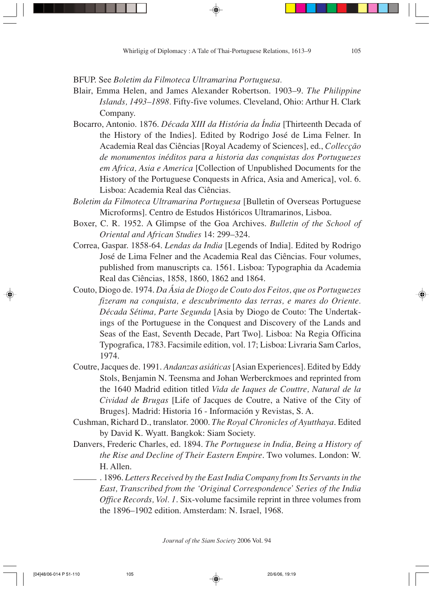Whirligig of Diplomacy : A Tale of Thai-Portuguese Relations, 1613–9 105

BFUP. See *Boletim da Filmoteca Ultramarina Portuguesa.*

- Blair, Emma Helen, and James Alexander Robertson. 1903–9. *The Philippine Islands, 1493–1898.* Fifty-five volumes. Cleveland, Ohio: Arthur H. Clark Company.
- Bocarro, Antonio. 1876. *Década XIII da História da Índia* [Thirteenth Decada of the History of the Indies]. Edited by Rodrigo José de Lima Felner. In Academia Real das Ciências [Royal Academy of Sciences], ed., *Collecção de monumentos inéditos para a historia das conquistas dos Portuguezes em Africa, Asia e America* [Collection of Unpublished Documents for the History of the Portuguese Conquests in Africa, Asia and America], vol. 6. Lisboa: Academia Real das Ciências.
- *Boletim da Filmoteca Ultramarina Portuguesa* [Bulletin of Overseas Portuguese Microforms]. Centro de Estudos Históricos Ultramarinos, Lisboa.
- Boxer, C. R. 1952. A Glimpse of the Goa Archives. *Bulletin of the School of Oriental and African Studies* 14: 299–324.
- Correa, Gaspar. 1858-64. *Lendas da India* [Legends of India]. Edited by Rodrigo José de Lima Felner and the Academia Real das Ciências. Four volumes, published from manuscripts ca. 1561. Lisboa: Typographia da Academia Real das Ciências, 1858, 1860, 1862 and 1864.
- Couto, Diogo de. 1974. *Da Ásia de Diogo de Couto dos Feitos, que os Portuguezes fizeram na conquista, e descubrimento das terras, e mares do Oriente. Década Sétima, Parte Segunda* [Asia by Diogo de Couto: The Undertakings of the Portuguese in the Conquest and Discovery of the Lands and Seas of the East, Seventh Decade, Part Two]. Lisboa: Na Regia Officina Typografica, 1783. Facsimile edition, vol. 17; Lisboa: Livraria Sam Carlos, 1974.
- Coutre, Jacques de. 1991. *Andanzas asiáticas* [Asian Experiences]. Edited by Eddy Stols, Benjamin N. Teensma and Johan Werberckmoes and reprinted from the 1640 Madrid edition titled *Vida de Iaques de Couttre, Natural de la Cividad de Brugas* [Life of Jacques de Coutre, a Native of the City of Bruges]. Madrid: Historia 16 - Información y Revistas, S. A.
- Cushman, Richard D., translator. 2000. *The Royal Chronicles of Ayutthaya*. Edited by David K. Wyatt. Bangkok: Siam Society.
- Danvers, Frederic Charles, ed. 1894. *The Portuguese in India, Being a History of the Rise and Decline of Their Eastern Empire*. Two volumes. London: W. H. Allen.
- . 1896. *Letters Received by the East India Company from Its Servants in the East, Transcribed from the 'Original Correspondence' Series of the India Office Records, Vol. 1*. Six-volume facsimile reprint in three volumes from the 1896–1902 edition. Amsterdam: N. Israel, 1968.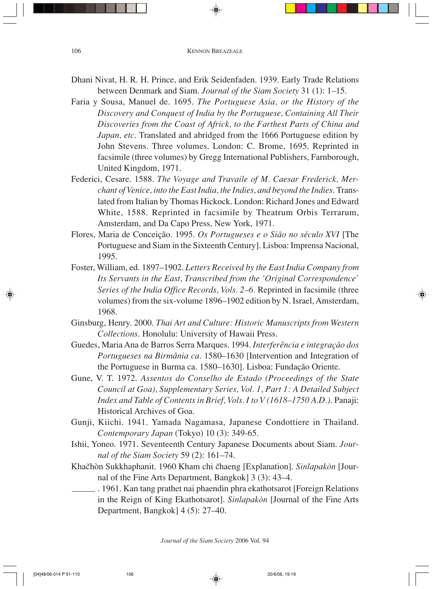- Dhani Nivat, H. R. H. Prince, and Erik Seidenfaden. 1939. Early Trade Relations between Denmark and Siam. *Journal of the Siam Society* 31 (1): 1–15.
- Faria y Sousa, Manuel de. 1695. *The Portuguese Asia, or the History of the Discovery and Conquest of India by the Portuguese, Containing All Their Discoveries from the Coast of Africk, to the Farthest Parts of China and Japan, etc*. Translated and abridged from the 1666 Portuguese edition by John Stevens. Three volumes. London: C. Brome, 1695. Reprinted in facsimile (three volumes) by Gregg International Publishers, Farnborough, United Kingdom, 1971.
- Federici, Cesare. 1588. *The Voyage and Travaile of M. Caesar Frederick, Merchant of Venice, into the East India, the Indies, and beyond the Indies*. Translated from Italian by Thomas Hickock. London: Richard Jones and Edward White, 1588. Reprinted in facsimile by Theatrum Orbis Terrarum, Amsterdam, and Da Capo Press, New York, 1971.
- Flores, Maria de Conceição. 1995. *Os Portugueses e o Sião no século XVI* [The Portuguese and Siam in the Sixteenth Century]. Lisboa: Imprensa Nacional, 1995.
- Foster, William, ed. 1897–1902. *Letters Received by the East India Company from Its Servants in the East, Transcribed from the 'Original Correspondence' Series of the India Office Records, Vols. 2–6.* Reprinted in facsimile (three volumes) from the six-volume 1896–1902 edition by N. Israel, Amsterdam, 1968.
- Ginsburg, Henry. 2000. *Thai Art and Culture: Historic Manuscripts from Western Collections*. Honolulu: University of Hawaii Press.
- Guedes, Maria Ana de Barros Serra Marques. 1994. *Interferência e integração dos Portugueses na Birmânia ca*. 1580–1630 [Intervention and Integration of the Portuguese in Burma ca. 1580–1630]. Lisboa: Fundação Oriente.
- Gune, V. T. 1972. *Assentos do Conselho de Estado (Proceedings of the State Council at Goa), Supplementary Series, Vol. 1, Part 1: A Detailed Subject Index and Table of Contents in Brief, Vols. I to V (1618–1750 A.D.)*. Panaji: Historical Archives of Goa.
- Gunji, Kiichi. 1941. Yamada Nagamasa, Japanese Condottiere in Thailand. *Contemporary Japan* (Tokyo) 10 (3): 349-65.
- Ishii, Yoneo. 1971. Seventeenth Century Japanese Documents about Siam. *Journal of the Siam Society* 59 (2): 161–74.
- Khac<sup>\*</sup>hòn Sukkhaphanit. 1960 Kham chi čhaeng [Explanation]. *Sinlapakòn* [Journal of the Fine Arts Department, Bangkok] 3 (3): 43–4.
- . 1961. Kan tang prathet nai phaendin phra ekathotsarot [Foreign Relations in the Reign of King Ekathotsarot]. *Sinlapakòn* [Journal of the Fine Arts Department, Bangkok] 4 (5): 27–40.

*Journal of the Siam Society* 2006 Vol. 94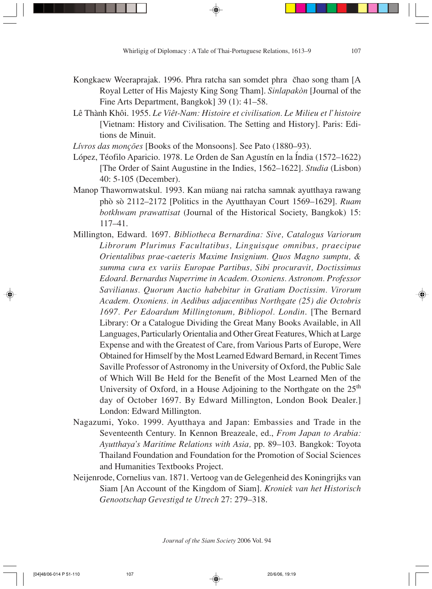Whirligig of Diplomacy : A Tale of Thai-Portuguese Relations, 1613–9 107

- Kongkaew Weeraprajak. 1996. Phra ratcha san somdet phra čhao song tham [A Royal Letter of His Majesty King Song Tham]. *Sinlapakòn* [Journal of the Fine Arts Department, Bangkok] 39 (1): 41–58.
- Lê Thành Khôi. 1955. *Le Viêt-Nam: Histoire et civilisation. Le Milieu et l'histoire* [Vietnam: History and Civilisation. The Setting and History]. Paris: Editions de Minuit.

*Lívros das monções* [Books of the Monsoons]. See Pato (1880–93).

- López, Téofilo Aparicio. 1978. Le Orden de San Agustín en la Índia (1572–1622) [The Order of Saint Augustine in the Indies, 1562–1622]. *Studia* (Lisbon) 40: 5-105 (December).
- Manop Thawornwatskul. 1993. Kan müang nai ratcha samnak ayutthaya rawang phò sò 2112–2172 [Politics in the Ayutthayan Court 1569–1629]. *Ruam botkhwam prawattisat* (Journal of the Historical Society, Bangkok) 15: 117–41.
- Millington, Edward. 1697. *Bibliotheca Bernardina: Sive, Catalogus Variorum Librorum Plurimus Facultatibus, Linguisque omnibus, praecipue Orientalibus prae-caeteris Maxime Insignium. Quos Magno sumptu, & summa cura ex variis Europae Partibus, Sibi procuravit, Doctissimus Edoard. Bernardus Nuperrime in Academ. Oxoniens. Astronom. Professor Savilianus. Quorum Auctio habebitur in Gratiam Doctissim. Virorum Academ. Oxoniens. in Aedibus adjacentibus Northgate (25) die Octobris 1697. Per Edoardum Millingtonum, Bibliopol. Londin*. [The Bernard Library: Or a Catalogue Dividing the Great Many Books Available, in All Languages, Particularly Orientalia and Other Great Features, Which at Large Expense and with the Greatest of Care, from Various Parts of Europe, Were Obtained for Himself by the Most Learned Edward Bernard, in Recent Times Saville Professor of Astronomy in the University of Oxford, the Public Sale of Which Will Be Held for the Benefit of the Most Learned Men of the University of Oxford, in a House Adjoining to the Northgate on the 25<sup>th</sup> day of October 1697. By Edward Millington, London Book Dealer.] London: Edward Millington.
- Nagazumi, Yoko. 1999. Ayutthaya and Japan: Embassies and Trade in the Seventeenth Century. In Kennon Breazeale, ed., *From Japan to Arabia: Ayutthaya's Maritime Relations with Asia,* pp. 89–103. Bangkok: Toyota Thailand Foundation and Foundation for the Promotion of Social Sciences and Humanities Textbooks Project.
- Neijenrode, Cornelius van. 1871. Vertoog van de Gelegenheid des Koningrijks van Siam [An Account of the Kingdom of Siam]. *Kroniek van het Historisch Genootschap Gevestigd te Utrech* 27: 279–318.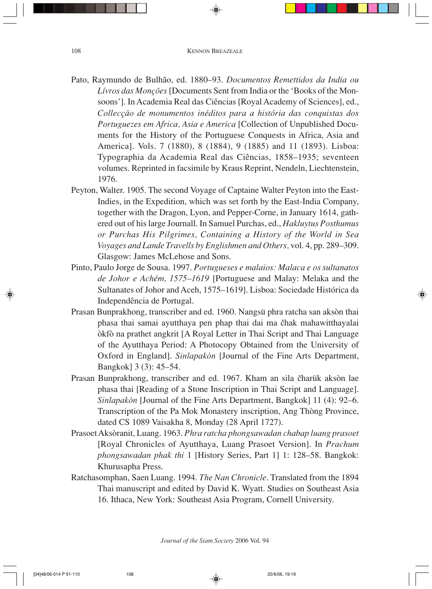- Pato, Raymundo de Bulhão, ed. 1880–93. *Documentos Remettidos da India ou Lívros das Monções* [Documents Sent from India or the 'Books of the Monsoons']. In Academia Real das Ciências [Royal Academy of Sciences], ed., *Collecção de monumentos inéditos para a história das conquistas dos Portuguezes em Africa, Asia e America* [Collection of Unpublished Documents for the History of the Portuguese Conquests in Africa, Asia and America]. Vols. 7 (1880), 8 (1884), 9 (1885) and 11 (1893). Lisboa: Typographia da Academia Real das Ciências, 1858–1935; seventeen volumes. Reprinted in facsimile by Kraus Reprint, Nendeln, Liechtenstein, 1976.
- Peyton, Walter. 1905. The second Voyage of Captaine Walter Peyton into the East-Indies, in the Expedition, which was set forth by the East-India Company, together with the Dragon, Lyon, and Pepper-Corne, in January 1614, gathered out of his large Journall. In Samuel Purchas, ed., *Hakluytus Posthumus or Purchas His Pilgrimes, Containing a History of the World in Sea Voyages and Lande Travells by Englishmen and Others,* vol. 4, pp. 289–309. Glasgow: James McLehose and Sons.
- Pinto, Paulo Jorge de Sousa. 1997. *Portugueses e malaios: Malaca e os sultanatos de Johor e Achém, 1575–1619* [Portuguese and Malay: Melaka and the Sultanates of Johor and Aceh, 1575–1619]. Lisboa: Sociedade Histórica da Independência de Portugal.
- Prasan Bunprakhong, transcriber and ed. 1960. Nangsü phra ratcha san aksòn thai phasa thai samai ayutthaya pen phap thai dai ma čhak mahawitthayalai òkfò na prathet angkrit [A Royal Letter in Thai Script and Thai Language of the Ayutthaya Period: A Photocopy Obtained from the University of Oxford in England]. *Sinlapakòn* [Journal of the Fine Arts Department, Bangkok] 3 (3): 45–54.
- Prasan Bunprakhong, transcriber and ed. 1967. Kham an sila čharük aksòn lae phasa thai [Reading of a Stone Inscription in Thai Script and Language]. *Sinlapakòn* [Journal of the Fine Arts Department, Bangkok] 11 (4): 92–6. Transcription of the Pa Mok Monastery inscription, Ang Thòng Province, dated CS 1089 Vaisakha 8, Monday (28 April 1727).
- Prasoet Aksòranit, Luang. 1963. *Phra ratcha phongsawadan chabap luang prasoet* [Royal Chronicles of Ayutthaya, Luang Prasoet Version]. In *Prachum phongsawadan phak thi* 1 [History Series, Part 1] 1: 128–58. Bangkok: Khurusapha Press.
- Ratchasomphan, Saen Luang. 1994. *The Nan Chronicle*. Translated from the 1894 Thai manuscript and edited by David K. Wyatt. Studies on Southeast Asia 16. Ithaca, New York: Southeast Asia Program, Cornell University.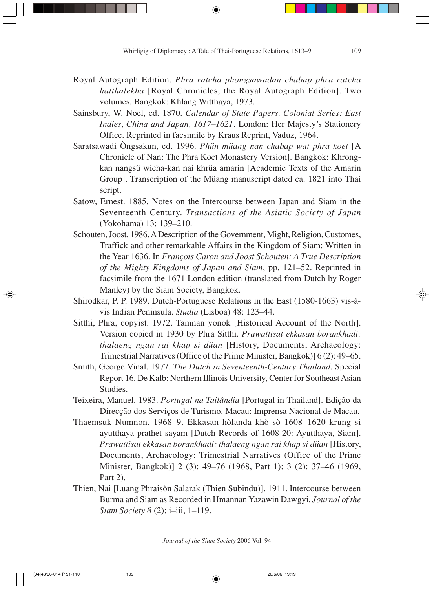Whirligig of Diplomacy : A Tale of Thai-Portuguese Relations, 1613–9 109

- Royal Autograph Edition. *Phra ratcha phongsawadan chabap phra ratcha hatthalekha* [Royal Chronicles, the Royal Autograph Edition]. Two volumes. Bangkok: Khlang Witthaya, 1973.
- Sainsbury, W. Noel, ed. 1870. *Calendar of State Papers. Colonial Series: East Indies, China and Japan, 1617–1621*. London: Her Majesty's Stationery Office. Reprinted in facsimile by Kraus Reprint, Vaduz, 1964.
- Saratsawadi Òngsakun, ed. 1996. *Phün müang nan chabap wat phra koet* [A Chronicle of Nan: The Phra Koet Monastery Version]. Bangkok: Khrongkan nangsü wicha-kan nai khrüa amarin [Academic Texts of the Amarin Group]. Transcription of the Müang manuscript dated ca. 1821 into Thai script.
- Satow, Ernest. 1885. Notes on the Intercourse between Japan and Siam in the Seventeenth Century. *Transactions of the Asiatic Society of Japan* (Yokohama) 13: 139–210.
- Schouten, Joost. 1986. A Description of the Government, Might, Religion, Customes, Traffick and other remarkable Affairs in the Kingdom of Siam: Written in the Year 1636. In *François Caron and Joost Schouten: A True Description of the Mighty Kingdoms of Japan and Siam*, pp. 121–52. Reprinted in facsimile from the 1671 London edition (translated from Dutch by Roger Manley) by the Siam Society, Bangkok.
- Shirodkar, P. P. 1989. Dutch-Portuguese Relations in the East (1580-1663) vis-àvis Indian Peninsula. *Studia* (Lisboa) 48: 123–44.
- Sitthi, Phra, copyist. 1972. Tamnan yonok [Historical Account of the North]. Version copied in 1930 by Phra Sitthi. *Prawattisat ekkasan borankhadi: thalaeng ngan rai khap si düan* [History, Documents, Archaeology: Trimestrial Narratives (Office of the Prime Minister, Bangkok)] 6 (2): 49–65.
- Smith, George Vinal. 1977. *The Dutch in Seventeenth-Century Thailand*. Special Report 16. De Kalb: Northern Illinois University, Center for Southeast Asian Studies.
- Teixeira, Manuel. 1983. *Portugal na Tailândia* [Portugal in Thailand]. Edição da Direcção dos Serviços de Turismo. Macau: Imprensa Nacional de Macau.
- Thaemsuk Numnon. 1968–9. Ekkasan hòlanda khò sò 1608–1620 krung si ayutthaya prathet sayam [Dutch Records of 1608-20: Ayutthaya, Siam]. *Prawattisat ekkasan borankhadi: thalaeng ngan rai khap si düan* [History, Documents, Archaeology: Trimestrial Narratives (Office of the Prime Minister, Bangkok)] 2 (3): 49–76 (1968, Part 1); 3 (2): 37–46 (1969, Part 2).
- Thien, Nai [Luang Phraisòn Salarak (Thien Subindu)]. 1911. Intercourse between Burma and Siam as Recorded in Hmannan Yazawin Dawgyi. *Journal of the Siam Society 8* (2): i–iii, 1–119.